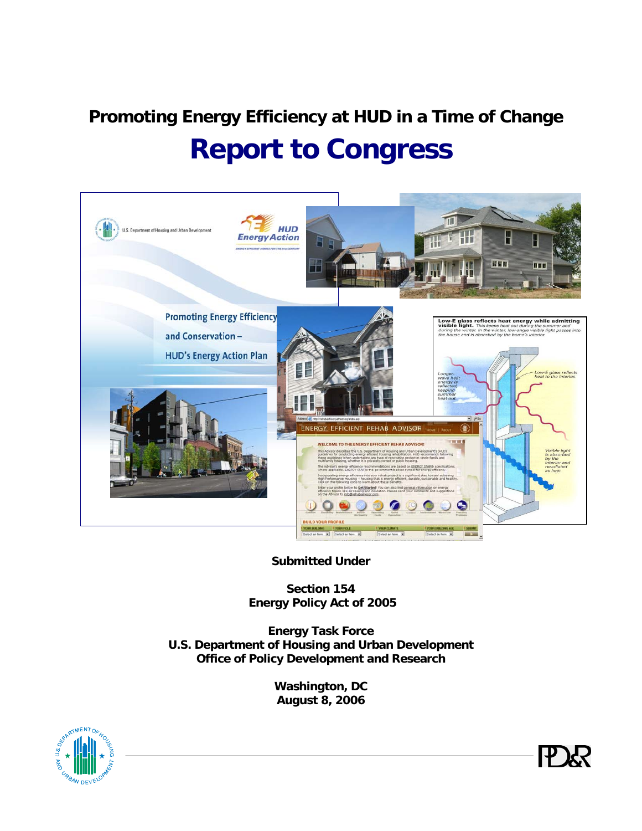# **Promoting Energy Efficiency at HUD in a Time of Change Report to Congress**



**Submitted Under** 

**Section 154 Energy Policy Act of 2005** 

**Energy Task Force U.S. Department of Housing and Urban Development Office of Policy Development and Research**

> **Washington, DC August 8, 2006**



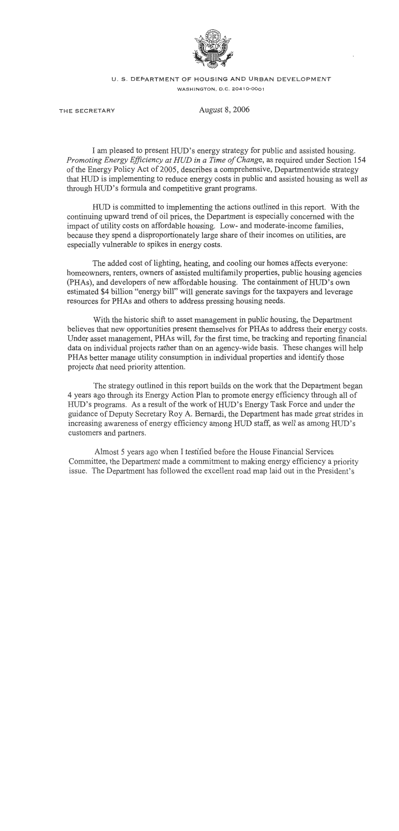

#### **U. S. DEPARTMENT OF HOUSING AND URBAN DEVELOPMENT WASHINGTON, D.C. 204 10-0001**

**THE SECRETARY** August 8,2006

I am pleased to present HUD's energy strategy for public and assisted housing. Promoting Energy Eficiency at HUD in a Time of Change, as required under Section 154 of the Energy Policy Act of 2005, describes a comprehensive, Departmentwide strategy that HUD is implementing to reduce energy costs in public and assisted housing as well as through HUD's formula and competitive grant programs.

HUD is committed to implementing the actions outlined in this report. With the continuing upward trend of oil prices, the Department is especially concerned with the impact of utility costs on affordable housing. Low- and moderate-income families, because they spend a disproportionately large share of their incomes on utilities, are especially vulnerable to spikes in energy costs.

The added cost of lighting, heating, and cooling our homes affects everyone: homeowners, renters, owners of assisted multifamily properties, public housing agencies (PHAs), and developers of new affordable housing. The containment of HUD's own estimated \$4 billion "energy bill" will generate savings for the taxpayers and leverage resources for PHAs and others to address pressing housing needs.

With the historic shift to asset management in public housing, the Department believes that new opportunities present themselves for PHAs to address their energy costs. Under asset management, PHAs will, for the first time, be tracking and reporting financial data on individual projects rather than on an agency-wide basis. These changes will help PHAs better manage utility consumption in individual properties and identify those projects that need priority attention.

The strategy outlined in this report builds on the work that the Department began 4 years ago through its Energy Action Plan to promote energy efficiency through all of HWD's programs. As a result of the work of HUD's Energy Task Force and under the guidance of Deputy Secretary Roy A. Bernardi, the Department has made great strides in increasing awareness of energy efficiency among HUD staff, as well as among HUD's customers and partners.

Almost 5 years ago when I testified before the House Financial Services Committee, the Department made a commitment to making energy efficiency a priority issue. The Department has followed the excellent road map laid out in the President's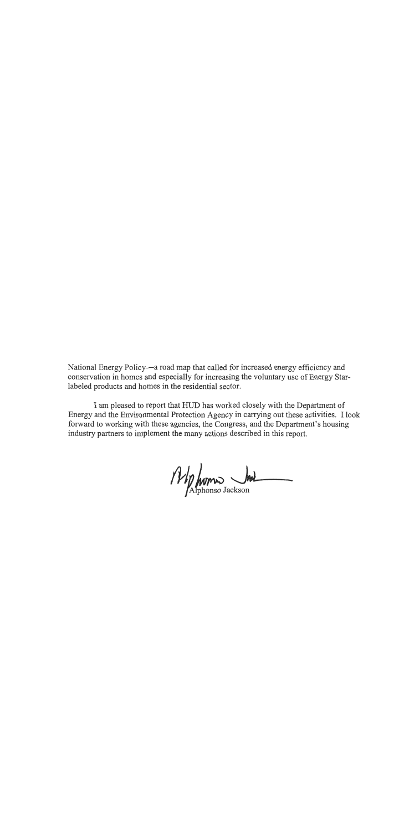National Energy Policy-a road map that called for increased energy efficiency and conservation in homes and especially for increasing the voluntary use of Energy Starlabeled products and homes in the residential sector.

I am pleased to report that HUD has worked closely with the Department of Energy and the Environmental Protection Agency in carrying out these activities. I look forward to working with these agencies, the Congress, and the Department's housing industry partners to implement the many actions described in this report.

*fif)* homes bet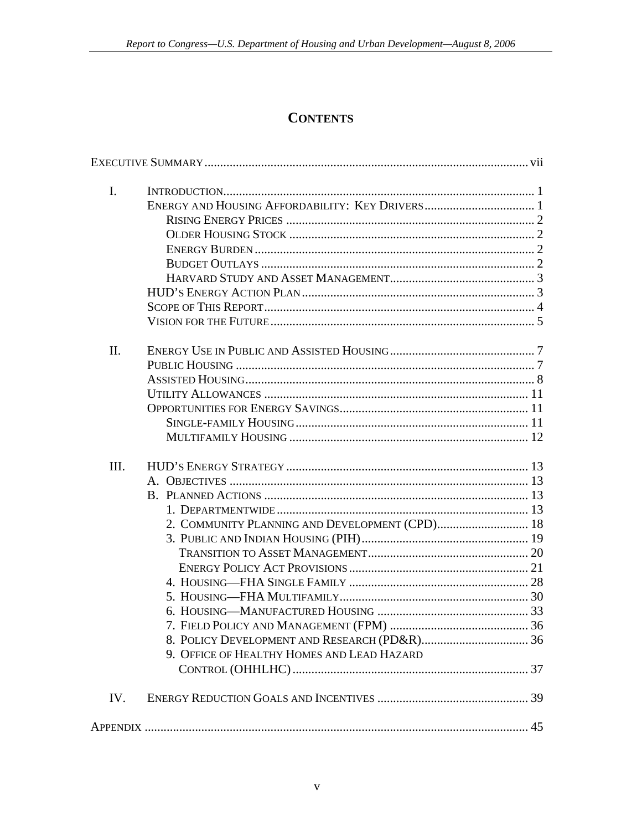# **CONTENTS**

| $\mathbf{I}$ . |                                                                                              |  |
|----------------|----------------------------------------------------------------------------------------------|--|
| II.            |                                                                                              |  |
| III.           | 2. COMMUNITY PLANNING AND DEVELOPMENT (CPD) 18<br>9. OFFICE OF HEALTHY HOMES AND LEAD HAZARD |  |
| IV.            |                                                                                              |  |
|                |                                                                                              |  |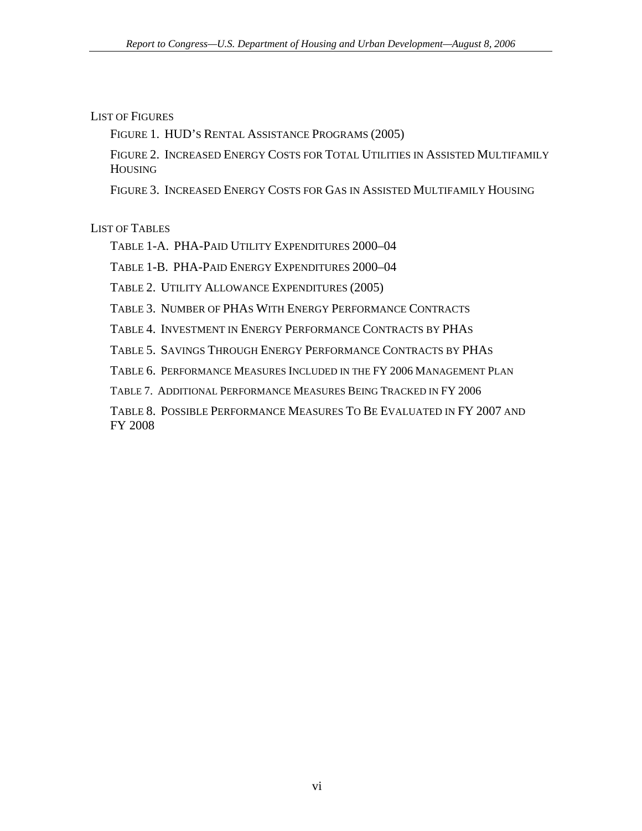### LIST OF FIGURES

[FIGURE 1. HUD'S RENTAL ASSISTANCE PROGRAMS \(2005\)](#page-14-0) 

[FIGURE 2. INCREASED ENERGY COSTS FOR TOTAL UTILITIES IN ASSISTED MULTIFAMILY](#page-17-0)  **HOUSING** 

[FIGURE 3. INCREASED ENERGY COSTS FOR GAS IN ASSISTED MULTIFAMILY HOUSING](#page-17-0)

LIST OF TABLES

[TABLE 1-A. PHA-PAID UTILITY EXPENDITURES 2000–04](#page-15-0) 

[TABLE 1-B. PHA-PAID ENERGY EXPENDITURES 2000–04](#page-15-0) 

[TABLE 2. UTILITY ALLOWANCE EXPENDITURES \(2005\)](#page-18-0) 

[TABLE 3. NUMBER OF PHAS WITH ENERGY PERFORMANCE CONTRACTS](#page-32-0)

[TABLE 4. INVESTMENT IN ENERGY PERFORMANCE CONTRACTS BY PHAS](#page-33-0)

[TABLE 5. SAVINGS THROUGH ENERGY PERFORMANCE CONTRACTS BY PHAS](#page-33-0)

[TABLE 6. PERFORMANCE MEASURES INCLUDED IN THE FY](#page-47-0) 2006 MANAGEMENT PLAN

[TABLE 7. ADDITIONAL PERFORMANCE MEASURES BEING TRACKED IN FY](#page-48-0) 2006

[TABLE 8. POSSIBLE PERFORMANCE MEASURES TO BE EVALUATED IN FY](#page-49-0) 2007 AND FY 2008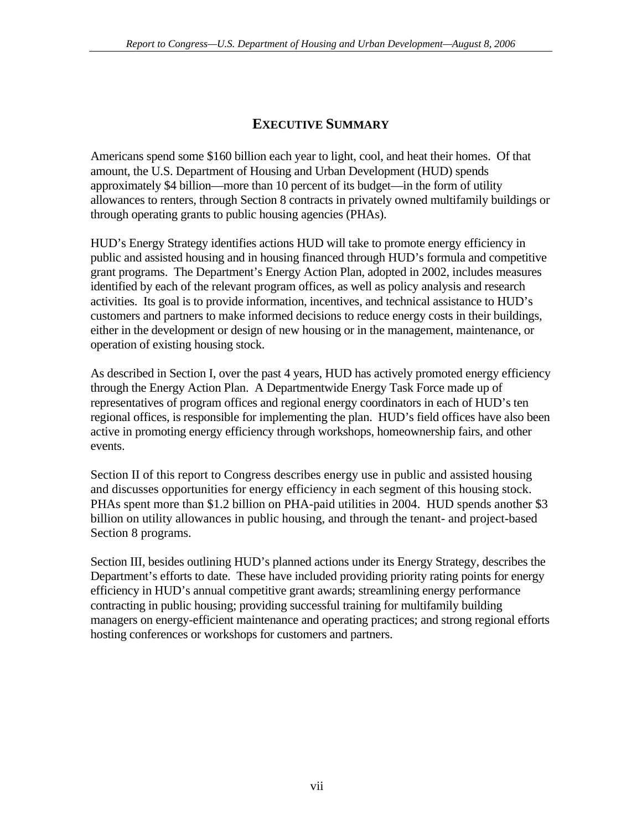# **EXECUTIVE SUMMARY**

<span id="page-6-0"></span>Americans spend some \$160 billion each year to light, cool, and heat their homes. Of that amount, the U.S. Department of Housing and Urban Development (HUD) spends approximately \$4 billion—more than 10 percent of its budget—in the form of utility allowances to renters, through Section 8 contracts in privately owned multifamily buildings or through operating grants to public housing agencies (PHAs).

HUD's Energy Strategy identifies actions HUD will take to promote energy efficiency in public and assisted housing and in housing financed through HUD's formula and competitive grant programs. The Department's Energy Action Plan, adopted in 2002, includes measures identified by each of the relevant program offices, as well as policy analysis and research activities. Its goal is to provide information, incentives, and technical assistance to HUD's customers and partners to make informed decisions to reduce energy costs in their buildings, either in the development or design of new housing or in the management, maintenance, or operation of existing housing stock.

As described in Section I, over the past 4 years, HUD has actively promoted energy efficiency through the Energy Action Plan. A Departmentwide Energy Task Force made up of representatives of program offices and regional energy coordinators in each of HUD's ten regional offices, is responsible for implementing the plan. HUD's field offices have also been active in promoting energy efficiency through workshops, homeownership fairs, and other events.

Section II of this report to Congress describes energy use in public and assisted housing and discusses opportunities for energy efficiency in each segment of this housing stock. PHAs spent more than \$1.2 billion on PHA-paid utilities in 2004. HUD spends another \$3 billion on utility allowances in public housing, and through the tenant- and project-based Section 8 programs.

Section III, besides outlining HUD's planned actions under its Energy Strategy, describes the Department's efforts to date. These have included providing priority rating points for energy efficiency in HUD's annual competitive grant awards; streamlining energy performance contracting in public housing; providing successful training for multifamily building managers on energy-efficient maintenance and operating practices; and strong regional efforts hosting conferences or workshops for customers and partners.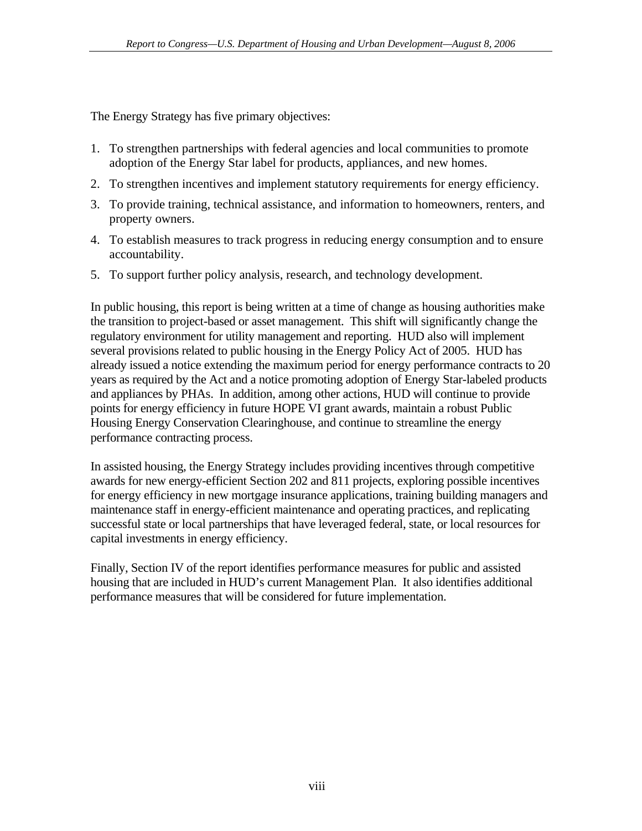The Energy Strategy has five primary objectives:

- 1. To strengthen partnerships with federal agencies and local communities to promote adoption of the Energy Star label for products, appliances, and new homes.
- 2. To strengthen incentives and implement statutory requirements for energy efficiency.
- 3. To provide training, technical assistance, and information to homeowners, renters, and property owners.
- 4. To establish measures to track progress in reducing energy consumption and to ensure accountability.
- 5. To support further policy analysis, research, and technology development.

In public housing, this report is being written at a time of change as housing authorities make the transition to project-based or asset management. This shift will significantly change the regulatory environment for utility management and reporting. HUD also will implement several provisions related to public housing in the Energy Policy Act of 2005. HUD has already issued a notice extending the maximum period for energy performance contracts to 20 years as required by the Act and a notice promoting adoption of Energy Star-labeled products and appliances by PHAs. In addition, among other actions, HUD will continue to provide points for energy efficiency in future HOPE VI grant awards, maintain a robust Public Housing Energy Conservation Clearinghouse, and continue to streamline the energy performance contracting process.

In assisted housing, the Energy Strategy includes providing incentives through competitive awards for new energy-efficient Section 202 and 811 projects, exploring possible incentives for energy efficiency in new mortgage insurance applications, training building managers and maintenance staff in energy-efficient maintenance and operating practices, and replicating successful state or local partnerships that have leveraged federal, state, or local resources for capital investments in energy efficiency.

Finally, Section IV of the report identifies performance measures for public and assisted housing that are included in HUD's current Management Plan. It also identifies additional performance measures that will be considered for future implementation.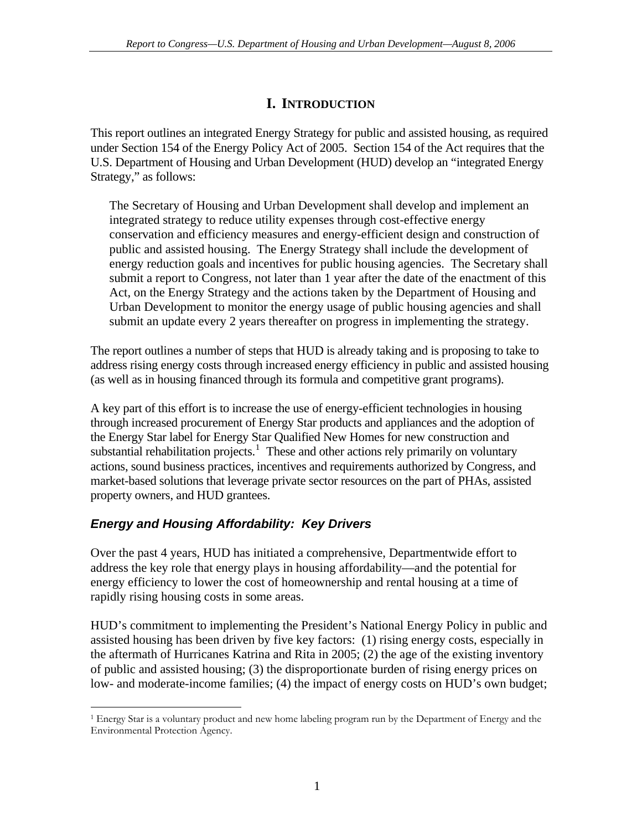# **I. INTRODUCTION**

<span id="page-8-0"></span>This report outlines an integrated Energy Strategy for public and assisted housing, as required under Section 154 of the Energy Policy Act of 2005. Section 154 of the Act requires that the U.S. Department of Housing and Urban Development (HUD) develop an "integrated Energy Strategy," as follows:

The Secretary of Housing and Urban Development shall develop and implement an integrated strategy to reduce utility expenses through cost-effective energy conservation and efficiency measures and energy-efficient design and construction of public and assisted housing. The Energy Strategy shall include the development of energy reduction goals and incentives for public housing agencies. The Secretary shall submit a report to Congress, not later than 1 year after the date of the enactment of this Act, on the Energy Strategy and the actions taken by the Department of Housing and Urban Development to monitor the energy usage of public housing agencies and shall submit an update every 2 years thereafter on progress in implementing the strategy.

The report outlines a number of steps that HUD is already taking and is proposing to take to address rising energy costs through increased energy efficiency in public and assisted housing (as well as in housing financed through its formula and competitive grant programs).

A key part of this effort is to increase the use of energy-efficient technologies in housing through increased procurement of Energy Star products and appliances and the adoption of the Energy Star label for Energy Star Qualified New Homes for new construction and substantial rehabilitation projects.<sup>[1](#page-8-1)</sup> These and other actions rely primarily on voluntary actions, sound business practices, incentives and requirements authorized by Congress, and market-based solutions that leverage private sector resources on the part of PHAs, assisted property owners, and HUD grantees.

# *Energy and Housing Affordability: Key Drivers*

Over the past 4 years, HUD has initiated a comprehensive, Departmentwide effort to address the key role that energy plays in housing affordability—and the potential for energy efficiency to lower the cost of homeownership and rental housing at a time of rapidly rising housing costs in some areas.

HUD's commitment to implementing the President's National Energy Policy in public and assisted housing has been driven by five key factors: (1) rising energy costs, especially in the aftermath of Hurricanes Katrina and Rita in 2005; (2) the age of the existing inventory of public and assisted housing; (3) the disproportionate burden of rising energy prices on low- and moderate-income families; (4) the impact of energy costs on HUD's own budget;

<span id="page-8-1"></span> $\overline{a}$ 1 Energy Star is a voluntary product and new home labeling program run by the Department of Energy and the Environmental Protection Agency.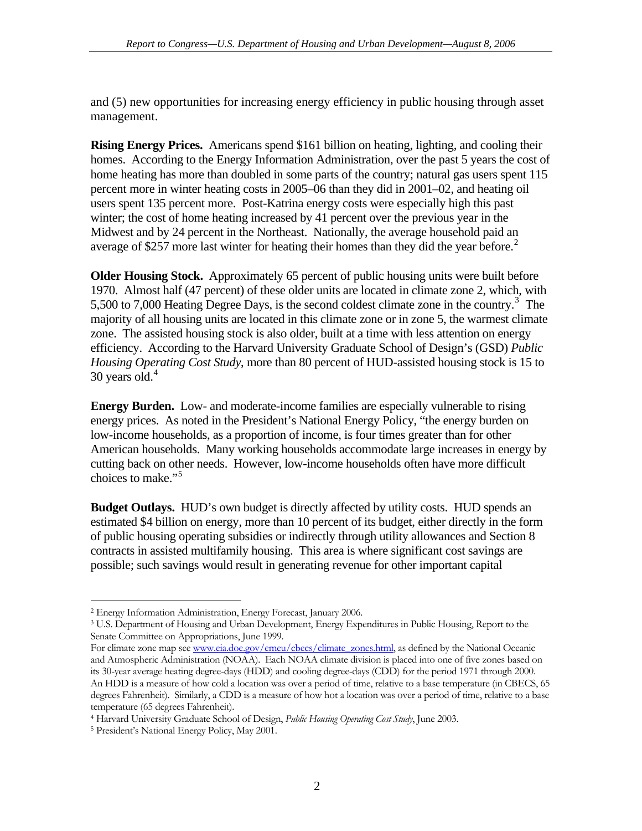<span id="page-9-0"></span>and (5) new opportunities for increasing energy efficiency in public housing through asset management.

**Rising Energy Prices.** Americans spend \$161 billion on heating, lighting, and cooling their homes. According to the Energy Information Administration, over the past 5 years the cost of home heating has more than doubled in some parts of the country; natural gas users spent 115 percent more in winter heating costs in 2005–06 than they did in 2001–02, and heating oil users spent 135 percent more. Post-Katrina energy costs were especially high this past winter; the cost of home heating increased by 41 percent over the previous year in the Midwest and by 24 percent in the Northeast. Nationally, the average household paid an average of \$[2](#page-9-1)57 more last winter for heating their homes than they did the year before.<sup>2</sup>

**Older Housing Stock.** Approximately 65 percent of public housing units were built before 1970. Almost half (47 percent) of these older units are located in climate zone 2, which, with 5,500 to 7,000 Heating Degree Days, is the second coldest climate zone in the country.<sup>[3](#page-9-2)</sup> The majority of all housing units are located in this climate zone or in zone 5, the warmest climate zone. The assisted housing stock is also older, built at a time with less attention on energy efficiency. According to the Harvard University Graduate School of Design's (GSD) *Public Housing Operating Cost Study*, more than 80 percent of HUD-assisted housing stock is 15 to 30 years old. $4$ 

**Energy Burden.** Low- and moderate-income families are especially vulnerable to rising energy prices. As noted in the President's National Energy Policy, "the energy burden on low-income households, as a proportion of income, is four times greater than for other American households. Many working households accommodate large increases in energy by cutting back on other needs. However, low-income households often have more difficult choices to make."[5](#page-9-4)

**Budget Outlays.** HUD's own budget is directly affected by utility costs. HUD spends an estimated \$4 billion on energy, more than 10 percent of its budget, either directly in the form of public housing operating subsidies or indirectly through utility allowances and Section 8 contracts in assisted multifamily housing. This area is where significant cost savings are possible; such savings would result in generating revenue for other important capital

 $\overline{a}$ Energy Information Administration, Energy Forecast, January 2006. 2

<span id="page-9-2"></span><span id="page-9-1"></span><sup>3</sup> U.S. Department of Housing and Urban Development, Energy Expenditures in Public Housing, Report to the Senate Committee on Appropriations, June 1999.

For climate zone map see [www.eia.doe.gov/emeu/cbecs/climate\\_zones.html](http://www.eia.doe.gov/emeu/cbecs/climate_zones.html), as defined by the National Oceanic and Atmospheric Administration (NOAA). Each NOAA climate division is placed into one of five zones based on its 30-year average heating degree-days (HDD) and cooling degree-days (CDD) for the period 1971 through 2000. An HDD is a measure of how cold a location was over a period of time, relative to a base temperature (in CBECS, 65 degrees Fahrenheit). Similarly, a CDD is a measure of how hot a location was over a period of time, relative to a base temperature (65 degrees Fahrenheit).

<span id="page-9-3"></span>Harvard University Graduate School of Design, *Public Housing Operating Cost Study*, June 2003. 4

<span id="page-9-4"></span><sup>&</sup>lt;sup>5</sup> President's National Energy Policy, May 2001.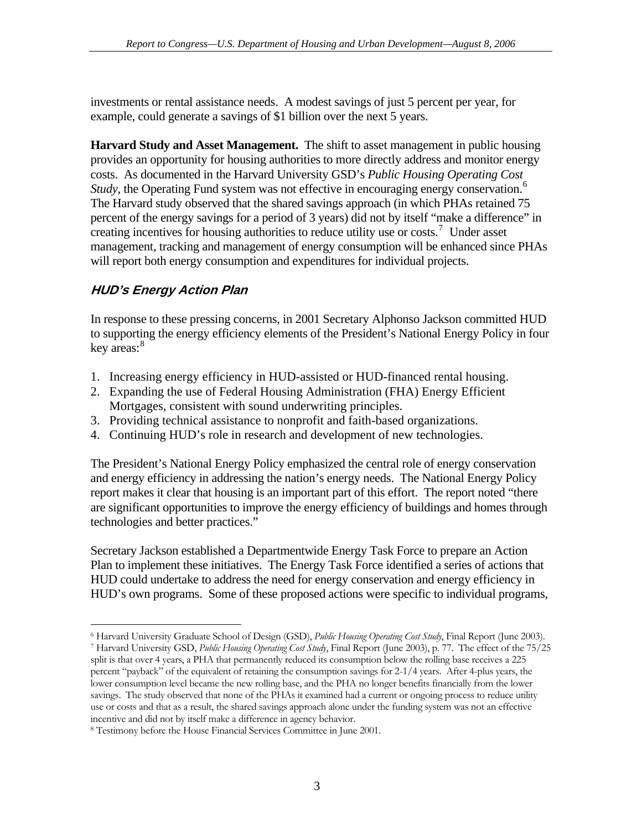<span id="page-10-0"></span>investments or rental assistance needs. A modest savings of just 5 percent per year, for example, could generate a savings of \$1 billion over the next 5 years.

**Harvard Study and Asset Management.** The shift to asset management in public housing provides an opportunity for housing authorities to more directly address and monitor energy costs. As documented in the Harvard University GSD's *Public Housing Operating Cost Study*, the Operating Fund system was not effective in encouraging energy conservation.<sup>[6](#page-10-1)</sup> The Harvard study observed that the shared savings approach (in which PHAs retained 75 percent of the energy savings for a period of 3 years) did not by itself "make a difference" in creating incentives for housing authorities to reduce utility use or costs.<sup>[7](#page-10-2)</sup> Under asset management, tracking and management of energy consumption will be enhanced since PHAs will report both energy consumption and expenditures for individual projects.

# **HUD's Energy Action Plan**

 $\overline{a}$ 

In response to these pressing concerns, in 2001 Secretary Alphonso Jackson committed HUD to supporting the energy efficiency elements of the President's National Energy Policy in four key areas:<sup>[8](#page-10-3)</sup>

- 1. Increasing energy efficiency in HUD-assisted or HUD-financed rental housing.
- 2. Expanding the use of Federal Housing Administration (FHA) Energy Efficient Mortgages, consistent with sound underwriting principles.
- 3. Providing technical assistance to nonprofit and faith-based organizations.
- 4. Continuing HUD's role in research and development of new technologies.

The President's National Energy Policy emphasized the central role of energy conservation and energy efficiency in addressing the nation's energy needs. The National Energy Policy report makes it clear that housing is an important part of this effort. The report noted "there are significant opportunities to improve the energy efficiency of buildings and homes through technologies and better practices."

Secretary Jackson established a Departmentwide Energy Task Force to prepare an Action Plan to implement these initiatives. The Energy Task Force identified a series of actions that HUD could undertake to address the need for energy conservation and energy efficiency in HUD's own programs. Some of these proposed actions were specific to individual programs,

<span id="page-10-2"></span>7 Harvard University GSD, *Public Housing Operating Cost Study*, Final Report (June 2003), p. 77. The effect of the 75/25 split is that over 4 years, a PHA that permanently reduced its consumption below the rolling base receives a 225 percent "payback" of the equivalent of retaining the consumption savings for 2-1/4 years. After 4-plus years, the lower consumption level became the new rolling base, and the PHA no longer benefits financially from the lower savings. The study observed that none of the PHAs it examined had a current or ongoing process to reduce utility use or costs and that as a result, the shared savings approach alone under the funding system was not an effective incentive and did not by itself make a difference in agency behavior.

<span id="page-10-1"></span><sup>&</sup>lt;sup>6</sup> Harvard University Graduate School of Design (GSD), *Public Housing Operating Cost Study*, Final Report (June 2003).

<span id="page-10-3"></span><sup>&</sup>lt;sup>8</sup> Testimony before the House Financial Services Committee in June 2001.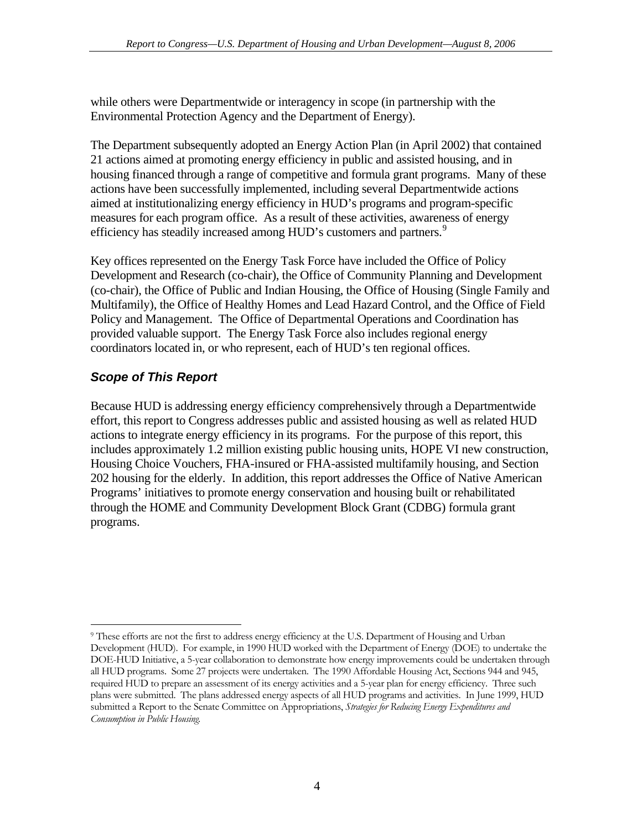<span id="page-11-0"></span>while others were Departmentwide or interagency in scope (in partnership with the Environmental Protection Agency and the Department of Energy).

The Department subsequently adopted an Energy Action Plan (in April 2002) that contained 21 actions aimed at promoting energy efficiency in public and assisted housing, and in housing financed through a range of competitive and formula grant programs. Many of these actions have been successfully implemented, including several Departmentwide actions aimed at institutionalizing energy efficiency in HUD's programs and program-specific measures for each program office. As a result of these activities, awareness of energy efficiency has steadily increased among HUD's customers and partners.<sup>[9](#page-11-1)</sup>

Key offices represented on the Energy Task Force have included the Office of Policy Development and Research (co-chair), the Office of Community Planning and Development (co-chair), the Office of Public and Indian Housing, the Office of Housing (Single Family and Multifamily), the Office of Healthy Homes and Lead Hazard Control, and the Office of Field Policy and Management. The Office of Departmental Operations and Coordination has provided valuable support. The Energy Task Force also includes regional energy coordinators located in, or who represent, each of HUD's ten regional offices.

# *Scope of This Report*

Because HUD is addressing energy efficiency comprehensively through a Departmentwide effort, this report to Congress addresses public and assisted housing as well as related HUD actions to integrate energy efficiency in its programs. For the purpose of this report, this includes approximately 1.2 million existing public housing units, HOPE VI new construction, Housing Choice Vouchers, FHA-insured or FHA-assisted multifamily housing, and Section 202 housing for the elderly. In addition, this report addresses the Office of Native American Programs' initiatives to promote energy conservation and housing built or rehabilitated through the HOME and Community Development Block Grant (CDBG) formula grant programs.

<span id="page-11-1"></span> $\overline{a}$ 9 These efforts are not the first to address energy efficiency at the U.S. Department of Housing and Urban Development (HUD). For example, in 1990 HUD worked with the Department of Energy (DOE) to undertake the DOE-HUD Initiative, a 5-year collaboration to demonstrate how energy improvements could be undertaken through all HUD programs. Some 27 projects were undertaken. The 1990 Affordable Housing Act, Sections 944 and 945, required HUD to prepare an assessment of its energy activities and a 5-year plan for energy efficiency. Three such plans were submitted. The plans addressed energy aspects of all HUD programs and activities. In June 1999, HUD submitted a Report to the Senate Committee on Appropriations, *Strategies for Reducing Energy Expenditures and Consumption in Public Housing.*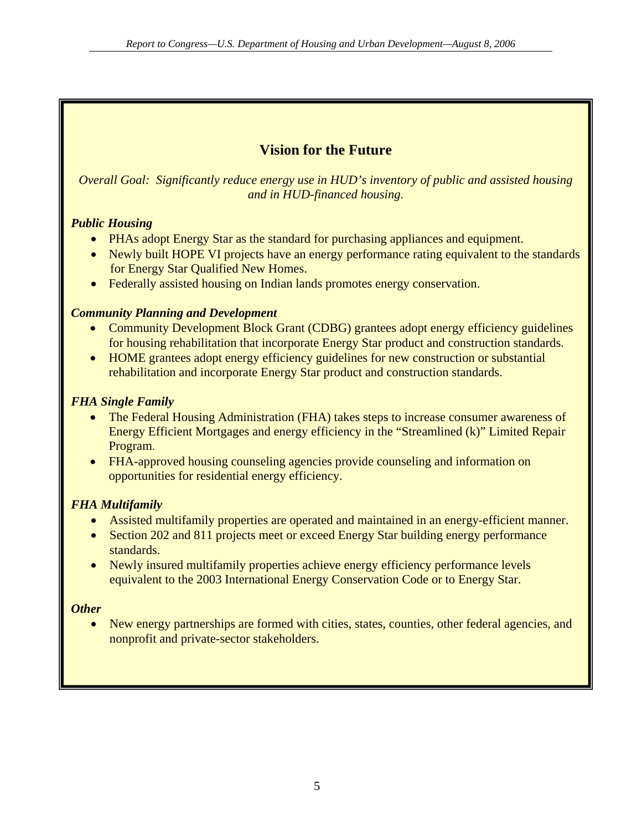# **Vision for the Future**

<span id="page-12-0"></span>*Overall Goal: Significantly reduce energy use in HUD's inventory of public and assisted housing and in HUD-financed housing.* 

### *Public Housing*

- PHAs adopt Energy Star as the standard for purchasing appliances and equipment.
- Newly built HOPE VI projects have an energy performance rating equivalent to the standards for Energy Star Qualified New Homes.
- Federally assisted housing on Indian lands promotes energy conservation.

### *Community Planning and Development*

- Community Development Block Grant (CDBG) grantees adopt energy efficiency guidelines for housing rehabilitation that incorporate Energy Star product and construction standards.
- HOME grantees adopt energy efficiency guidelines for new construction or substantial rehabilitation and incorporate Energy Star product and construction standards.

# *FHA Single Family*

- The Federal Housing Administration (FHA) takes steps to increase consumer awareness of Energy Efficient Mortgages and energy efficiency in the "Streamlined (k)" Limited Repair Program.
- FHA-approved housing counseling agencies provide counseling and information on opportunities for residential energy efficiency.

# *FHA Multifamily*

- Assisted multifamily properties are operated and maintained in an energy-efficient manner.
- Section 202 and 811 projects meet or exceed Energy Star building energy performance standards.
- Newly insured multifamily properties achieve energy efficiency performance levels equivalent to the 2003 International Energy Conservation Code or to Energy Star.

### *Other*

• New energy partnerships are formed with cities, states, counties, other federal agencies, and nonprofit and private-sector stakeholders.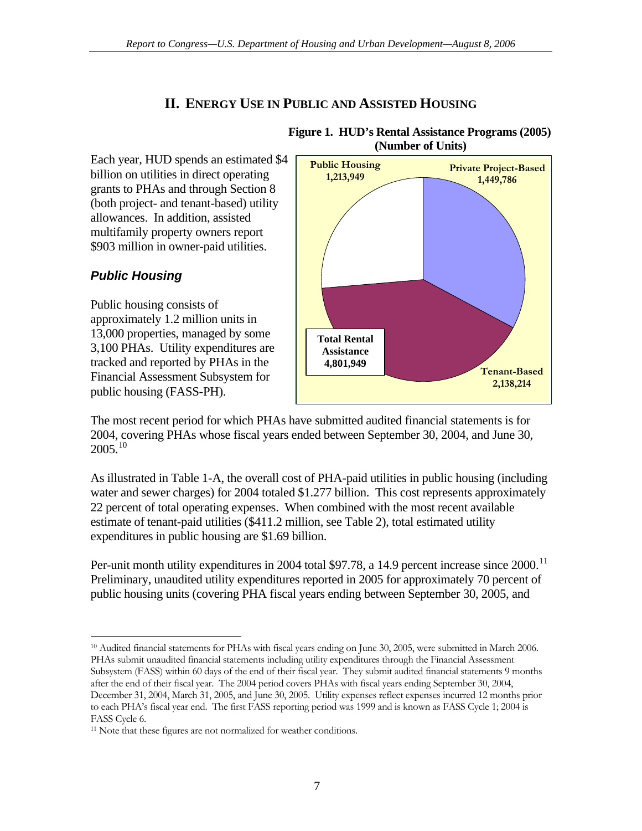# **II. ENERGY USE IN PUBLIC AND ASSISTED HOUSING**

<span id="page-14-0"></span>Each year, HUD spends an estimated \$4 billion on utilities in direct operating grants to PHAs and through Section 8 (both project- and tenant-based) utility allowances. In addition, assisted multifamily property owners report \$903 million in owner-paid utilities.

### *Public Housing*

Public housing consists of approximately 1.2 million units in 13,000 properties, managed by some 3,100 PHAs. Utility expenditures are tracked and reported by PHAs in the Financial Assessment Subsystem for public housing (FASS-PH).



#### **Figure 1. HUD's Rental Assistance Programs (2005) (Number of Units)**

The most recent period for which PHAs have submitted audited financial statements is for 2004, covering PHAs whose fiscal years ended between September 30, 2004, and June 30,  $2005^{10}$  $2005^{10}$  $2005^{10}$ 

As illustrated in Table 1-A, the overall cost of PHA-paid utilities in public housing (including water and sewer charges) for 2004 totaled \$1.277 billion. This cost represents approximately 22 percent of total operating expenses. When combined with the most recent available estimate of tenant-paid utilities (\$411.2 million, see Table 2), total estimated utility expenditures in public housing are \$1.69 billion.

Per-unit month utility expenditures in 2004 total \$97.78, a 14.9 percent increase since 2000.<sup>[11](#page-14-2)</sup> Preliminary, unaudited utility expenditures reported in 2005 for approximately 70 percent of public housing units (covering PHA fiscal years ending between September 30, 2005, and

<span id="page-14-1"></span> $\overline{a}$ <sup>10</sup> Audited financial statements for PHAs with fiscal years ending on June 30, 2005, were submitted in March 2006. PHAs submit unaudited financial statements including utility expenditures through the Financial Assessment Subsystem (FASS) within 60 days of the end of their fiscal year. They submit audited financial statements 9 months after the end of their fiscal year. The 2004 period covers PHAs with fiscal years ending September 30, 2004, December 31, 2004, March 31, 2005, and June 30, 2005. Utility expenses reflect expenses incurred 12 months prior to each PHA's fiscal year end. The first FASS reporting period was 1999 and is known as FASS Cycle 1; 2004 is FASS Cycle 6.

<span id="page-14-2"></span><sup>&</sup>lt;sup>11</sup> Note that these figures are not normalized for weather conditions.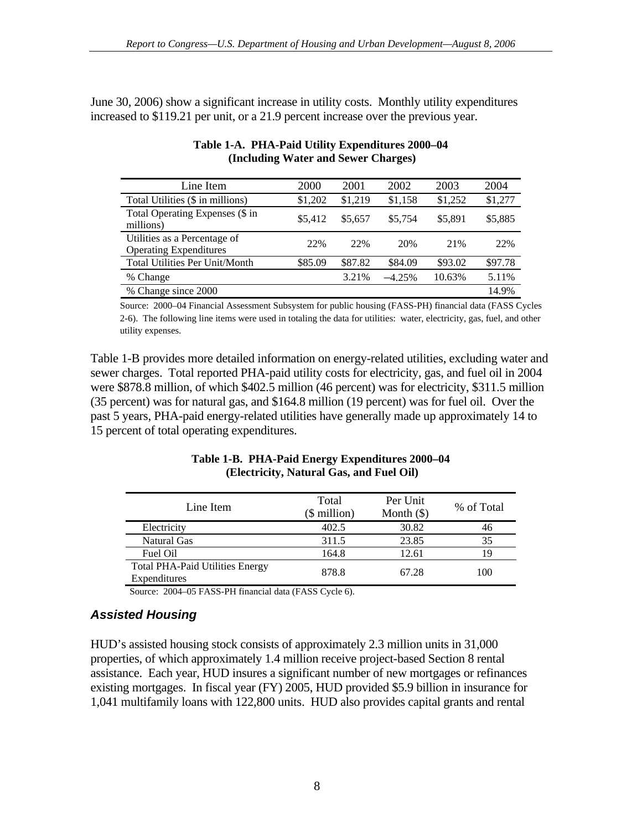<span id="page-15-0"></span>June 30, 2006) show a significant increase in utility costs. Monthly utility expenditures increased to \$119.21 per unit, or a 21.9 percent increase over the previous year.

| Line Item                                                     | 2000    | 2001    | 2002     | 2003    | 2004    |
|---------------------------------------------------------------|---------|---------|----------|---------|---------|
| Total Utilities (\$ in millions)                              | \$1,202 | \$1,219 | \$1,158  | \$1,252 | \$1,277 |
| Total Operating Expenses (\$ in<br>millions)                  | \$5.412 | \$5,657 | \$5.754  | \$5,891 | \$5,885 |
| Utilities as a Percentage of<br><b>Operating Expenditures</b> | 22%     | 22%     | 20%      | 21%     | 22%     |
| Total Utilities Per Unit/Month                                | \$85.09 | \$87.82 | \$84.09  | \$93.02 | \$97.78 |
| % Change                                                      |         | 3.21%   | $-4.25%$ | 10.63%  | 5.11%   |
| % Change since 2000                                           |         |         |          |         | 14.9%   |

### **Table 1-A. PHA-Paid Utility Expenditures 2000–04 (Including Water and Sewer Charges)**

Source: 2000–04 Financial Assessment Subsystem for public housing (FASS-PH) financial data (FASS Cycles 2-6). The following line items were used in totaling the data for utilities: water, electricity, gas, fuel, and other utility expenses.

Table 1-B provides more detailed information on energy-related utilities, excluding water and sewer charges. Total reported PHA-paid utility costs for electricity, gas, and fuel oil in 2004 were \$878.8 million, of which \$402.5 million (46 percent) was for electricity, \$311.5 million (35 percent) was for natural gas, and \$164.8 million (19 percent) was for fuel oil. Over the past 5 years, PHA-paid energy-related utilities have generally made up approximately 14 to 15 percent of total operating expenditures.

| Line Item                                              | Total<br>$$$ million) | Per Unit<br>Month $(\$)$ | % of Total |
|--------------------------------------------------------|-----------------------|--------------------------|------------|
| Electricity                                            | 402.5                 | 30.82                    | 46         |
| Natural Gas                                            | 311.5                 | 23.85                    | 35         |
| Fuel Oil                                               | 164.8                 | 12.61                    | 19         |
| <b>Total PHA-Paid Utilities Energy</b><br>Expenditures | 878.8                 | 67.28                    | 100        |

#### **Table 1-B. PHA-Paid Energy Expenditures 2000–04 (Electricity, Natural Gas, and Fuel Oil)**

Source: 2004–05 FASS-PH financial data (FASS Cycle 6).

### *Assisted Housing*

HUD's assisted housing stock consists of approximately 2.3 million units in 31,000 properties, of which approximately 1.4 million receive project-based Section 8 rental assistance. Each year, HUD insures a significant number of new mortgages or refinances existing mortgages. In fiscal year (FY) 2005, HUD provided \$5.9 billion in insurance for 1,041 multifamily loans with 122,800 units. HUD also provides capital grants and rental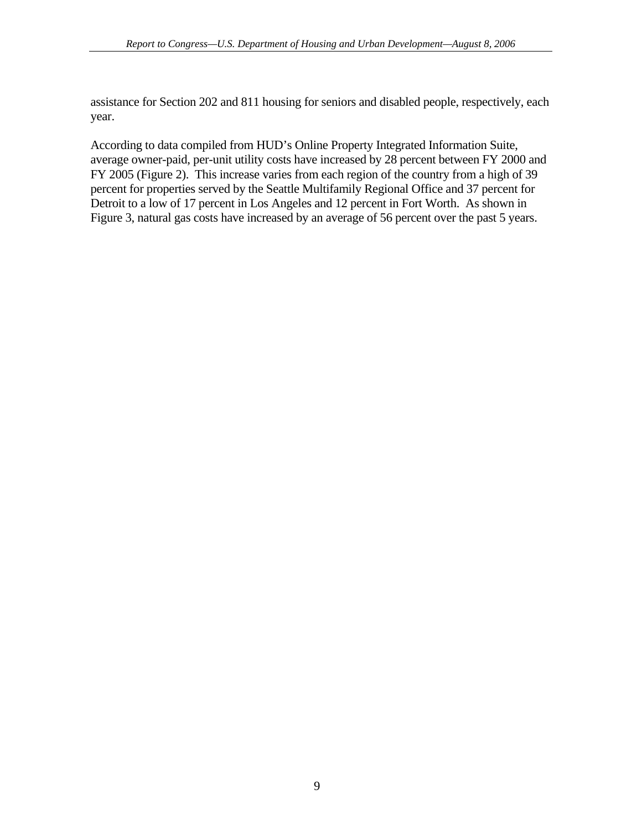assistance for Section 202 and 811 housing for seniors and disabled people, respectively, each year.

According to data compiled from HUD's Online Property Integrated Information Suite, average owner-paid, per-unit utility costs have increased by 28 percent between FY 2000 and FY 2005 (Figure 2). This increase varies from each region of the country from a high of 39 percent for properties served by the Seattle Multifamily Regional Office and 37 percent for Detroit to a low of 17 percent in Los Angeles and 12 percent in Fort Worth. As shown in Figure 3, natural gas costs have increased by an average of 56 percent over the past 5 years.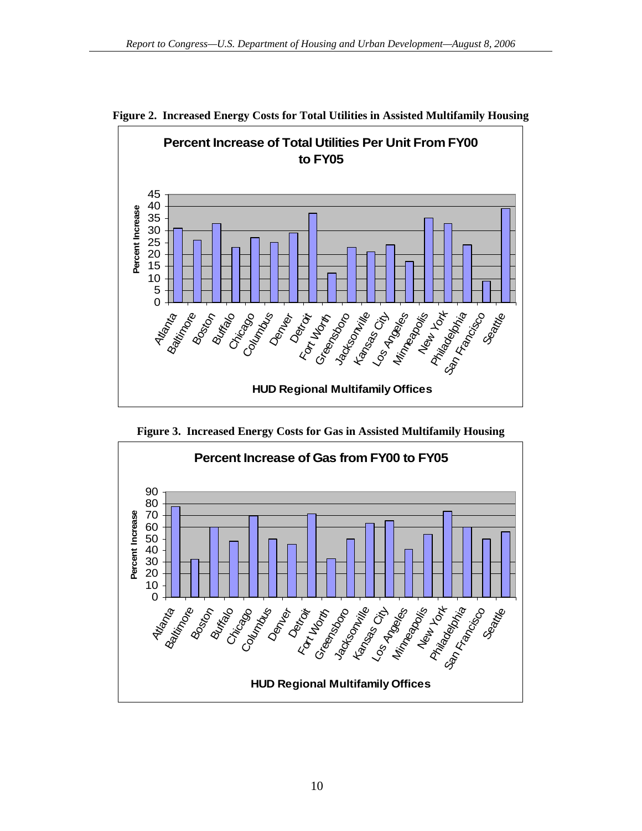



<span id="page-17-0"></span>**Figure 2. Increased Energy Costs for Total Utilities in Assisted Multifamily Housing**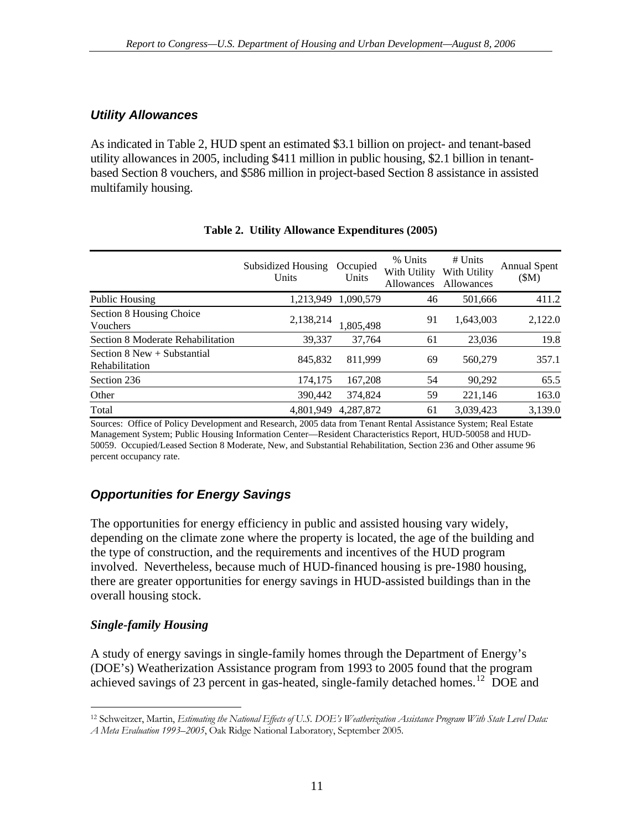### <span id="page-18-0"></span>*Utility Allowances*

As indicated in Table 2, HUD spent an estimated \$3.1 billion on project- and tenant-based utility allowances in 2005, including \$411 million in public housing, \$2.1 billion in tenantbased Section 8 vouchers, and \$586 million in project-based Section 8 assistance in assisted multifamily housing.

|                                                   | Subsidized Housing<br>Units | Occupied<br>Units | % Units<br>With Utility<br>Allowances | $#$ Units<br>With Utility<br>Allowances | <b>Annual Spent</b><br>(SM) |
|---------------------------------------------------|-----------------------------|-------------------|---------------------------------------|-----------------------------------------|-----------------------------|
| Public Housing                                    | 1.213.949                   | 1.090.579         | 46                                    | 501,666                                 | 411.2                       |
| Section 8 Housing Choice<br>Vouchers              | 2,138,214                   | 1,805,498         | 91                                    | 1,643,003                               | 2,122.0                     |
| Section 8 Moderate Rehabilitation                 | 39,337                      | 37.764            | 61                                    | 23,036                                  | 19.8                        |
| Section $8$ New $+$ Substantial<br>Rehabilitation | 845,832                     | 811.999           | 69                                    | 560,279                                 | 357.1                       |
| Section 236                                       | 174,175                     | 167,208           | 54                                    | 90,292                                  | 65.5                        |
| Other                                             | 390,442                     | 374,824           | 59                                    | 221,146                                 | 163.0                       |
| Total                                             | 4.801.949                   | 4.287.872         | 61                                    | 3.039.423                               | 3,139.0                     |

#### **Table 2. Utility Allowance Expenditures (2005)**

Sources: Office of Policy Development and Research, 2005 data from Tenant Rental Assistance System; Real Estate Management System; Public Housing Information Center—Resident Characteristics Report, HUD-50058 and HUD-50059. Occupied/Leased Section 8 Moderate, New, and Substantial Rehabilitation, Section 236 and Other assume 96 percent occupancy rate.

# *Opportunities for Energy Savings*

The opportunities for energy efficiency in public and assisted housing vary widely, depending on the climate zone where the property is located, the age of the building and the type of construction, and the requirements and incentives of the HUD program involved. Nevertheless, because much of HUD-financed housing is pre-1980 housing, there are greater opportunities for energy savings in HUD-assisted buildings than in the overall housing stock.

### *Single-family Housing*

A study of energy savings in single-family homes through the Department of Energy's (DOE's) Weatherization Assistance program from 1993 to 2005 found that the program achieved savings of 23 percent in gas-heated, single-family detached homes.<sup>[12](#page-18-1)</sup> DOE and

<span id="page-18-1"></span> $\overline{a}$ 12 Schweitzer, Martin, *Estimating the National Effects of U.S. DOE's Weatherization Assistance Program With State Level Data: A Meta Evaluation 1993–2005*, Oak Ridge National Laboratory, September 2005.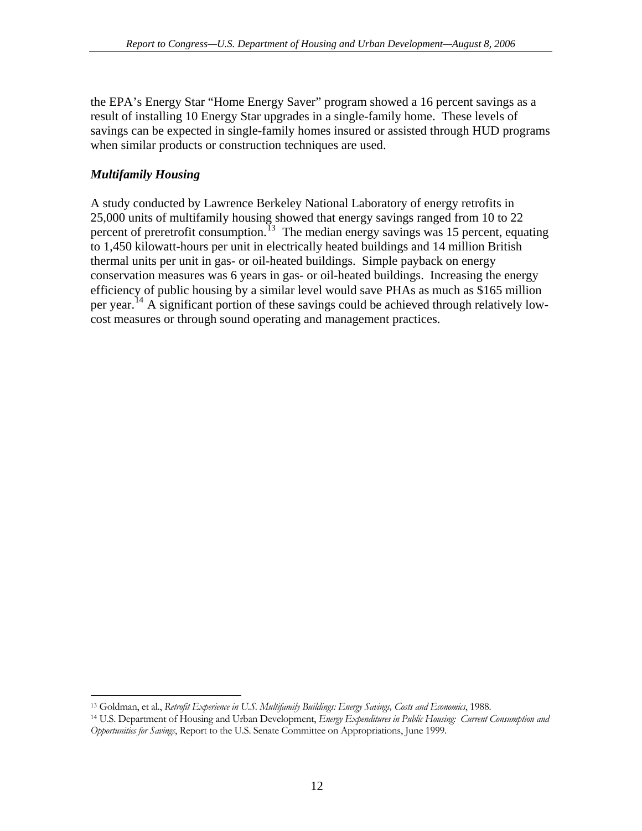<span id="page-19-0"></span>the EPA's Energy Star "Home Energy Saver" program showed a 16 percent savings as a result of installing 10 Energy Star upgrades in a single-family home. These levels of savings can be expected in single-family homes insured or assisted through HUD programs when similar products or construction techniques are used.

### *Multifamily Housing*

A study conducted by Lawrence Berkeley National Laboratory of energy retrofits in 25,000 units of multifamily housing showed that energy savings ranged from 10 to 22 percent of preretrofit consumption.<sup>[13](#page-19-1)</sup> The median energy savings was 15 percent, equating to 1,450 kilowatt-hours per unit in electrically heated buildings and 14 million British thermal units per unit in gas- or oil-heated buildings. Simple payback on energy conservation measures was 6 years in gas- or oil-heated buildings. Increasing the energy efficiency of public housing by a similar level would save PHAs as much as \$165 million per year.<sup>[14](#page-19-2)</sup> A significant portion of these savings could be achieved through relatively lowcost measures or through sound operating and management practices.

 $\overline{a}$ 

<span id="page-19-2"></span><span id="page-19-1"></span><sup>&</sup>lt;sup>13</sup> Goldman, et al., Retrofit Experience in U.S. Multifamily Buildings: Energy Savings, Costs and Economics, 1988.<br><sup>14</sup> U.S. Department of Housing and Urban Development, Energy Expenditures in Public Housing: Current Cons *Opportunities for Savings*, Report to the U.S. Senate Committee on Appropriations, June 1999.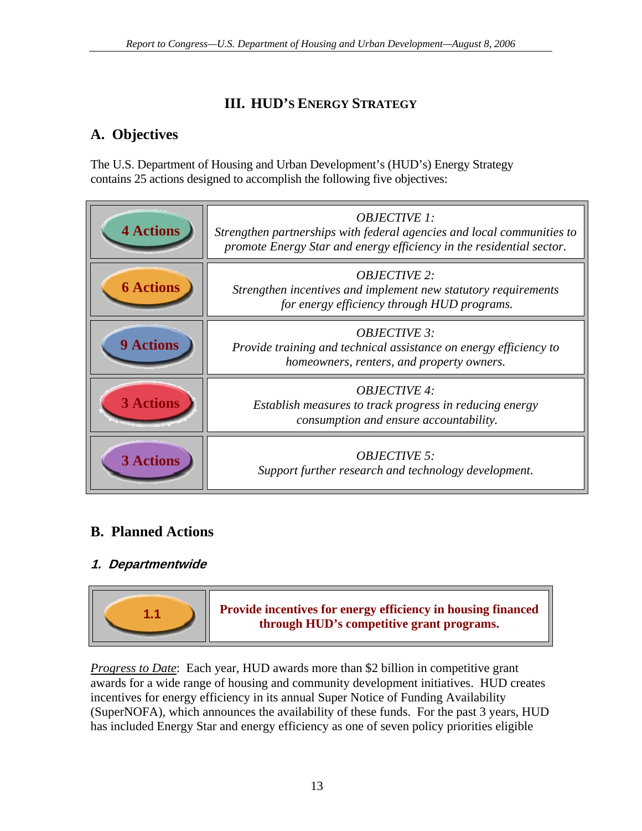# **III. HUD'S ENERGY STRATEGY**

# <span id="page-20-0"></span>**A. Objectives**

The U.S. Department of Housing and Urban Development's (HUD's) Energy Strategy contains 25 actions designed to accomplish the following five objectives:

| <b>4 Actions</b> | <b>OBJECTIVE 1:</b><br>Strengthen partnerships with federal agencies and local communities to<br>promote Energy Star and energy efficiency in the residential sector. |
|------------------|-----------------------------------------------------------------------------------------------------------------------------------------------------------------------|
| <b>6 Actions</b> | <b>OBJECTIVE 2:</b><br>Strengthen incentives and implement new statutory requirements<br>for energy efficiency through HUD programs.                                  |
| <b>9 Actions</b> | <b>OBJECTIVE 3:</b><br>Provide training and technical assistance on energy efficiency to<br>homeowners, renters, and property owners.                                 |
| <b>3 Actions</b> | <b>OBJECTIVE 4:</b><br>Establish measures to track progress in reducing energy<br>consumption and ensure accountability.                                              |
| <b>3 Actions</b> | <b>OBJECTIVE 5:</b><br>Support further research and technology development.                                                                                           |

# **B. Planned Actions**

# **1. Departmentwide**



*Progress to Date*: Each year, HUD awards more than \$2 billion in competitive grant awards for a wide range of housing and community development initiatives. HUD creates incentives for energy efficiency in its annual Super Notice of Funding Availability (SuperNOFA), which announces the availability of these funds. For the past 3 years, HUD has included Energy Star and energy efficiency as one of seven policy priorities eligible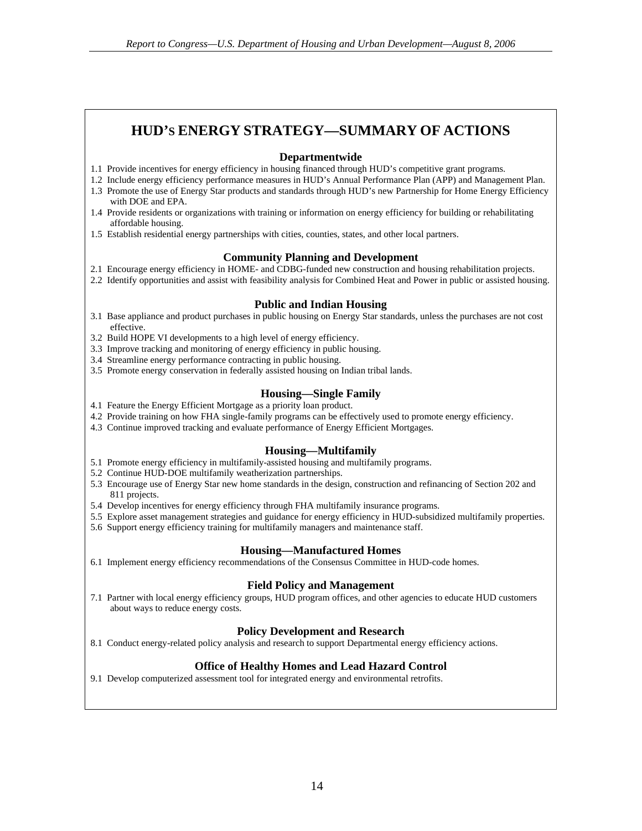# **HUD'S ENERGY STRATEGY—SUMMARY OF ACTIONS**

#### **Departmentwide**

- 1.1 Provide incentives for energy efficiency in housing financed through HUD's competitive grant programs.
- 1.2 Include energy efficiency performance measures in HUD's Annual Performance Plan (APP) and Management Plan. 1.3 Promote the use of Energy Star products and standards through HUD's new Partnership for Home Energy Efficiency
- with DOE and EPA. 1.4 Provide residents or organizations with training or information on energy efficiency for building or rehabilitating affordable housing.
- 1.5 Establish residential energy partnerships with cities, counties, states, and other local partners.

#### **Community Planning and Development**

- 2.1 Encourage energy efficiency in HOME- and CDBG-funded new construction and housing rehabilitation projects.
- 2.2 Identify opportunities and assist with feasibility analysis for Combined Heat and Power in public or assisted housing.

#### **Public and Indian Housing**

- 3.1 Base appliance and product purchases in public housing on Energy Star standards, unless the purchases are not cost effective.
- 3.2 Build HOPE VI developments to a high level of energy efficiency.
- 3.3 Improve tracking and monitoring of energy efficiency in public housing.
- 3.4 Streamline energy performance contracting in public housing.
- 3.5 Promote energy conservation in federally assisted housing on Indian tribal lands.

#### **Housing—Single Family**

- 4.1 Feature the Energy Efficient Mortgage as a priority loan product.
- 4.2 Provide training on how FHA single-family programs can be effectively used to promote energy efficiency.
- 4.3 Continue improved tracking and evaluate performance of Energy Efficient Mortgages.

#### **Housing—Multifamily**

- 5.1 Promote energy efficiency in multifamily-assisted housing and multifamily programs.
- 5.2 Continue HUD-DOE multifamily weatherization partnerships.
- 5.3 Encourage use of Energy Star new home standards in the design, construction and refinancing of Section 202 and 811 projects.
- 5.4 Develop incentives for energy efficiency through FHA multifamily insurance programs.
- 5.5 Explore asset management strategies and guidance for energy efficiency in HUD-subsidized multifamily properties.
- 5.6 Support energy efficiency training for multifamily managers and maintenance staff.

#### **Housing—Manufactured Homes**

6.1 Implement energy efficiency recommendations of the Consensus Committee in HUD-code homes.

#### **Field Policy and Management**

7.1 Partner with local energy efficiency groups, HUD program offices, and other agencies to educate HUD customers about ways to reduce energy costs.

#### **Policy Development and Research**

8.1 Conduct energy-related policy analysis and research to support Departmental energy efficiency actions.

#### **Office of Healthy Homes and Lead Hazard Control**

9.1 Develop computerized assessment tool for integrated energy and environmental retrofits.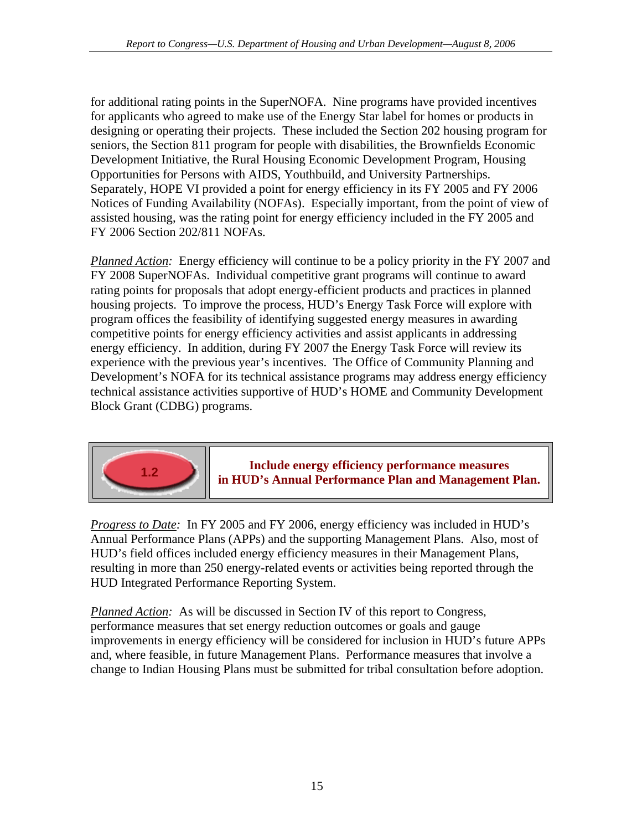for additional rating points in the SuperNOFA. Nine programs have provided incentives for applicants who agreed to make use of the Energy Star label for homes or products in designing or operating their projects. These included the Section 202 housing program for seniors, the Section 811 program for people with disabilities, the Brownfields Economic Development Initiative, the Rural Housing Economic Development Program, Housing Opportunities for Persons with AIDS, Youthbuild, and University Partnerships. Separately, HOPE VI provided a point for energy efficiency in its FY 2005 and FY 2006 Notices of Funding Availability (NOFAs). Especially important, from the point of view of assisted housing, was the rating point for energy efficiency included in the FY 2005 and FY 2006 Section 202/811 NOFAs.

*Planned Action:* Energy efficiency will continue to be a policy priority in the FY 2007 and FY 2008 SuperNOFAs. Individual competitive grant programs will continue to award rating points for proposals that adopt energy-efficient products and practices in planned housing projects. To improve the process, HUD's Energy Task Force will explore with program offices the feasibility of identifying suggested energy measures in awarding competitive points for energy efficiency activities and assist applicants in addressing energy efficiency. In addition, during FY 2007 the Energy Task Force will review its experience with the previous year's incentives. The Office of Community Planning and Development's NOFA for its technical assistance programs may address energy efficiency technical assistance activities supportive of HUD's HOME and Community Development Block Grant (CDBG) programs.



**Include energy efficiency performance measures in HUD's Annual Performance Plan and Management Plan. 1.2** 

*Progress to Date:* In FY 2005 and FY 2006, energy efficiency was included in HUD's Annual Performance Plans (APPs) and the supporting Management Plans. Also, most of HUD's field offices included energy efficiency measures in their Management Plans, resulting in more than 250 energy-related events or activities being reported through the HUD Integrated Performance Reporting System.

*Planned Action:* As will be discussed in Section IV of this report to Congress, performance measures that set energy reduction outcomes or goals and gauge improvements in energy efficiency will be considered for inclusion in HUD's future APPs and, where feasible, in future Management Plans. Performance measures that involve a change to Indian Housing Plans must be submitted for tribal consultation before adoption.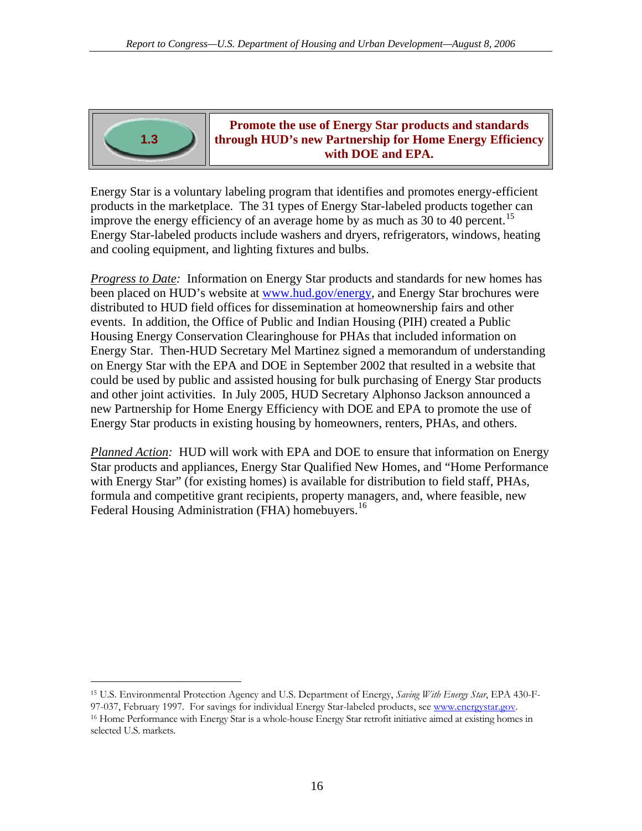

**Promote the use of Energy Star products and standards through HUD's new Partnership for Home Energy Efficiency with DOE and EPA.**

Energy Star is a voluntary labeling program that identifies and promotes energy-efficient products in the marketplace. The 31 types of Energy Star-labeled products together can improve the energy efficiency of an average home by as much as 30 to 40 percent.<sup>[15](#page-23-0)</sup> Energy Star-labeled products include washers and dryers, refrigerators, windows, heating and cooling equipment, and lighting fixtures and bulbs.

*Progress to Date:* Information on Energy Star products and standards for new homes has been placed on HUD's website at [www.hud.gov/energy](http://www.hud.gov/energy), and Energy Star brochures were distributed to HUD field offices for dissemination at homeownership fairs and other events. In addition, the Office of Public and Indian Housing (PIH) created a Public Housing Energy Conservation Clearinghouse for PHAs that included information on Energy Star. Then-HUD Secretary Mel Martinez signed a memorandum of understanding on Energy Star with the EPA and DOE in September 2002 that resulted in a website that could be used by public and assisted housing for bulk purchasing of Energy Star products and other joint activities. In July 2005, HUD Secretary Alphonso Jackson announced a new Partnership for Home Energy Efficiency with DOE and EPA to promote the use of Energy Star products in existing housing by homeowners, renters, PHAs, and others.

*Planned Action:* HUD will work with EPA and DOE to ensure that information on Energy Star products and appliances, Energy Star Qualified New Homes, and "Home Performance with Energy Star" (for existing homes) is available for distribution to field staff, PHAs, formula and competitive grant recipients, property managers, and, where feasible, new Federal Housing Administration (FHA) homebuyers.<sup>[16](#page-23-1)</sup>

<span id="page-23-0"></span>15 U.S. Environmental Protection Agency and U.S. Department of Energy, *Saving With Energy Star*, EPA 430-F97-037, February 1997. For savings for individual Energy Star-labeled products, see [www.energystar.gov.](http://www.energystar.gov)<br><sup>16</sup> Home Performance with Energy Star is a whole-house Energy Star retrofit initiative aimed at existing homes in

 $\overline{a}$ 

<span id="page-23-1"></span>selected U.S. markets.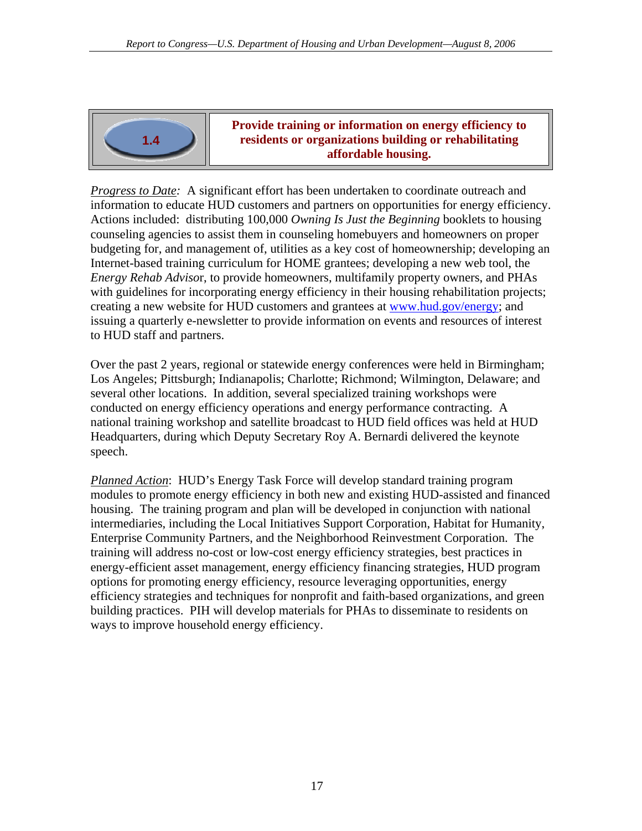

**Provide training or information on energy efficiency to residents or organizations building or rehabilitating affordable housing.**

*Progress to Date:* A significant effort has been undertaken to coordinate outreach and information to educate HUD customers and partners on opportunities for energy efficiency. Actions included: distributing 100,000 *Owning Is Just the Beginning* booklets to housing counseling agencies to assist them in counseling homebuyers and homeowners on proper budgeting for, and management of, utilities as a key cost of homeownership; developing an Internet-based training curriculum for HOME grantees; developing a new web tool, the *Energy Rehab Adviso*r, to provide homeowners, multifamily property owners, and PHAs with guidelines for incorporating energy efficiency in their housing rehabilitation projects; creating a new website for HUD customers and grantees at [www.hud.gov/energy;](www.hud.gov/energy) and issuing a quarterly e-newsletter to provide information on events and resources of interest to HUD staff and partners.

Over the past 2 years, regional or statewide energy conferences were held in Birmingham; Los Angeles; Pittsburgh; Indianapolis; Charlotte; Richmond; Wilmington, Delaware; and several other locations. In addition, several specialized training workshops were conducted on energy efficiency operations and energy performance contracting. A national training workshop and satellite broadcast to HUD field offices was held at HUD Headquarters, during which Deputy Secretary Roy A. Bernardi delivered the keynote speech.

*Planned Action*: HUD's Energy Task Force will develop standard training program modules to promote energy efficiency in both new and existing HUD-assisted and financed housing. The training program and plan will be developed in conjunction with national intermediaries, including the Local Initiatives Support Corporation, Habitat for Humanity, Enterprise Community Partners, and the Neighborhood Reinvestment Corporation. The training will address no-cost or low-cost energy efficiency strategies, best practices in energy-efficient asset management, energy efficiency financing strategies, HUD program options for promoting energy efficiency, resource leveraging opportunities, energy efficiency strategies and techniques for nonprofit and faith-based organizations, and green building practices. PIH will develop materials for PHAs to disseminate to residents on ways to improve household energy efficiency.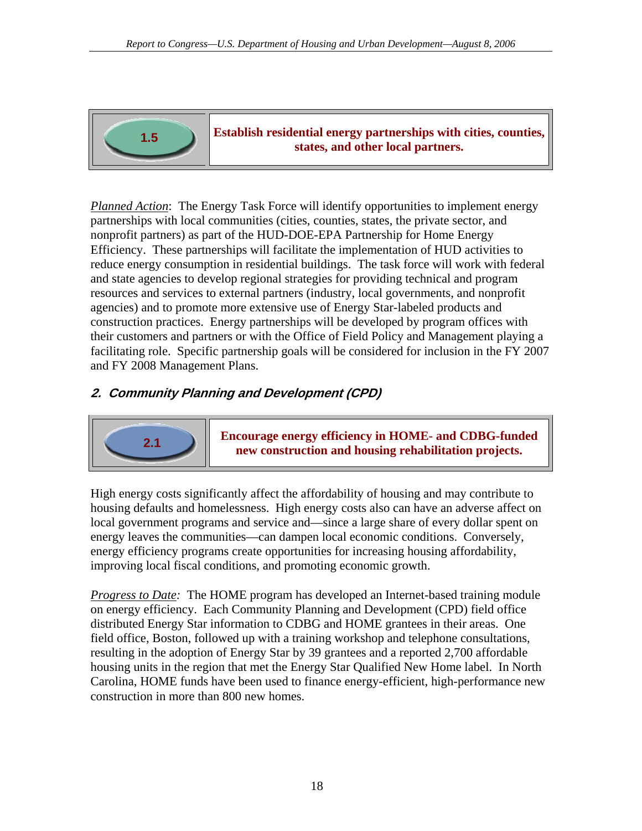<span id="page-25-0"></span>

**Establish residential energy partnerships with cities, counties, states, and other local partners.** 

*Planned Action*: The Energy Task Force will identify opportunities to implement energy partnerships with local communities (cities, counties, states, the private sector, and nonprofit partners) as part of the HUD-DOE-EPA Partnership for Home Energy Efficiency. These partnerships will facilitate the implementation of HUD activities to reduce energy consumption in residential buildings. The task force will work with federal and state agencies to develop regional strategies for providing technical and program resources and services to external partners (industry, local governments, and nonprofit agencies) and to promote more extensive use of Energy Star-labeled products and construction practices. Energy partnerships will be developed by program offices with their customers and partners or with the Office of Field Policy and Management playing a facilitating role. Specific partnership goals will be considered for inclusion in the FY 2007 and FY 2008 Management Plans.

### **2. Community Planning and Development (CPD)**



**Encourage energy efficiency in HOME- and CDBG-funded new construction and housing rehabilitation projects.**

High energy costs significantly affect the affordability of housing and may contribute to housing defaults and homelessness. High energy costs also can have an adverse affect on local government programs and service and—since a large share of every dollar spent on energy leaves the communities—can dampen local economic conditions. Conversely, energy efficiency programs create opportunities for increasing housing affordability, improving local fiscal conditions, and promoting economic growth.

*Progress to Date:* The HOME program has developed an Internet-based training module on energy efficiency. Each Community Planning and Development (CPD) field office distributed Energy Star information to CDBG and HOME grantees in their areas. One field office, Boston, followed up with a training workshop and telephone consultations, resulting in the adoption of Energy Star by 39 grantees and a reported 2,700 affordable housing units in the region that met the Energy Star Qualified New Home label. In North Carolina, HOME funds have been used to finance energy-efficient, high-performance new construction in more than 800 new homes.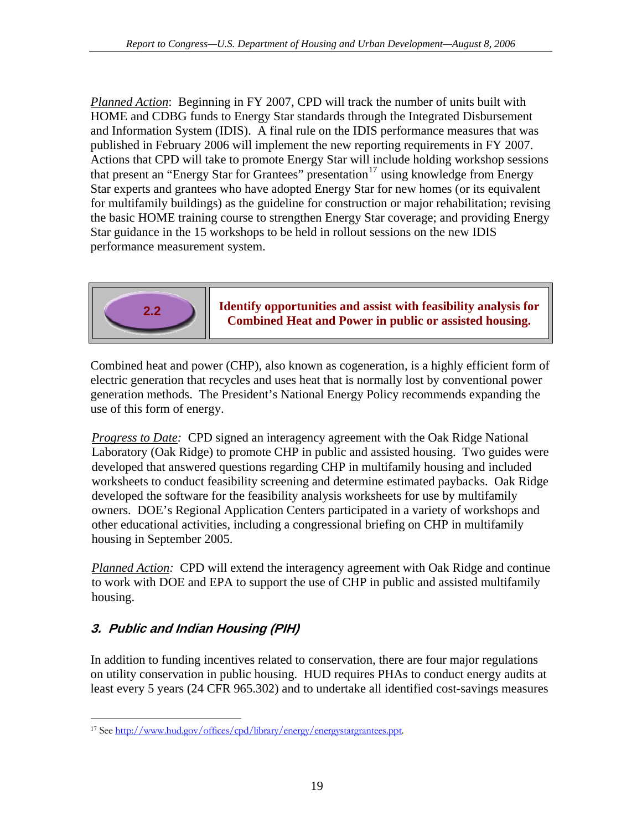<span id="page-26-0"></span>*Planned Action*: Beginning in FY 2007, CPD will track the number of units built with HOME and CDBG funds to Energy Star standards through the Integrated Disbursement and Information System (IDIS). A final rule on the IDIS performance measures that was published in February 2006 will implement the new reporting requirements in FY 2007. Actions that CPD will take to promote Energy Star will include holding workshop sessions that present an "Energy Star for Grantees" presentation<sup>[17](#page-26-1)</sup> using knowledge from Energy Star experts and grantees who have adopted Energy Star for new homes (or its equivalent for multifamily buildings) as the guideline for construction or major rehabilitation; revising the basic HOME training course to strengthen Energy Star coverage; and providing Energy Star guidance in the 15 workshops to be held in rollout sessions on the new IDIS performance measurement system.



**Identify opportunities and assist with feasibility analysis for Combined Heat and Power in public or assisted housing.**<br>**Combined Heat and Power in public or assisted housing.** 

Combined heat and power (CHP), also known as cogeneration, is a highly efficient form of electric generation that recycles and uses heat that is normally lost by conventional power generation methods. The President's National Energy Policy recommends expanding the use of this form of energy.

*Progress to Date:* CPD signed an interagency agreement with the Oak Ridge National Laboratory (Oak Ridge) to promote CHP in public and assisted housing. Two guides were developed that answered questions regarding CHP in multifamily housing and included worksheets to conduct feasibility screening and determine estimated paybacks. Oak Ridge developed the software for the feasibility analysis worksheets for use by multifamily owners. DOE's Regional Application Centers participated in a variety of workshops and other educational activities, including a congressional briefing on CHP in multifamily housing in September 2005.

*Planned Action:* CPD will extend the interagency agreement with Oak Ridge and continue to work with DOE and EPA to support the use of CHP in public and assisted multifamily housing.

# **3. Public and Indian Housing (PIH)**

In addition to funding incentives related to conservation, there are four major regulations on utility conservation in public housing. HUD requires PHAs to conduct energy audits at least every 5 years (24 CFR 965.302) and to undertake all identified cost-savings measures

<span id="page-26-1"></span> $\overline{a}$ 17 See<http://www.hud.gov/offices/cpd/library/energy/energystargrantees.ppt>.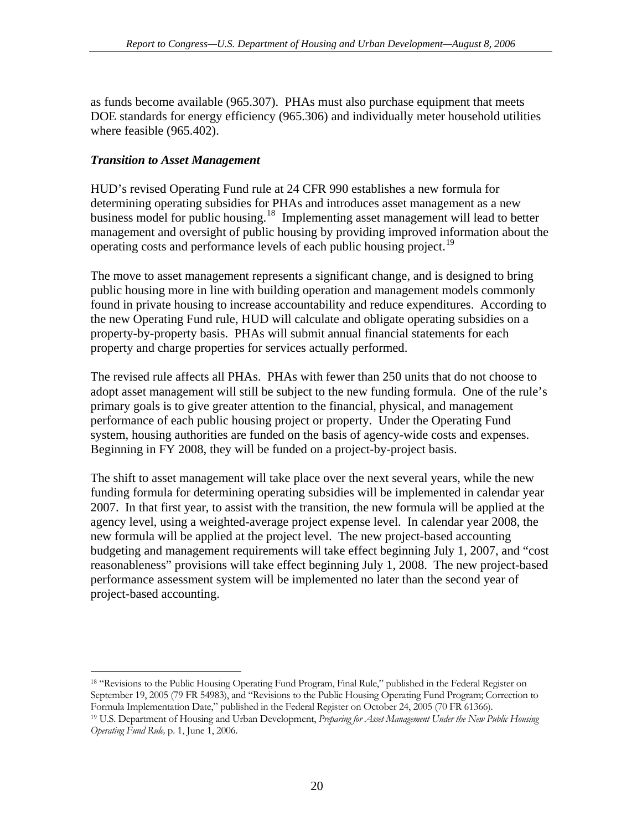<span id="page-27-0"></span>as funds become available (965.307). PHAs must also purchase equipment that meets DOE standards for energy efficiency (965.306) and individually meter household utilities where feasible (965.402).

### *Transition to Asset Management*

 $\overline{a}$ 

HUD's revised Operating Fund rule at 24 CFR 990 establishes a new formula for determining operating subsidies for PHAs and introduces asset management as a new business model for public housing.[18](#page-27-1) Implementing asset management will lead to better management and oversight of public housing by providing improved information about the operating costs and performance levels of each public housing project.<sup>19</sup>

The move to asset management represents a significant change, and is designed to bring public housing more in line with building operation and management models commonly found in private housing to increase accountability and reduce expenditures. According to the new Operating Fund rule, HUD will calculate and obligate operating subsidies on a property-by-property basis. PHAs will submit annual financial statements for each property and charge properties for services actually performed.

The revised rule affects all PHAs. PHAs with fewer than 250 units that do not choose to adopt asset management will still be subject to the new funding formula. One of the rule's primary goals is to give greater attention to the financial, physical, and management performance of each public housing project or property. Under the Operating Fund system, housing authorities are funded on the basis of agency-wide costs and expenses. Beginning in FY 2008, they will be funded on a project-by-project basis.

The shift to asset management will take place over the next several years, while the new funding formula for determining operating subsidies will be implemented in calendar year 2007. In that first year, to assist with the transition, the new formula will be applied at the agency level, using a weighted-average project expense level. In calendar year 2008, the new formula will be applied at the project level. The new project-based accounting budgeting and management requirements will take effect beginning July 1, 2007, and "cost reasonableness" provisions will take effect beginning July 1, 2008. The new project-based performance assessment system will be implemented no later than the second year of project-based accounting.

<span id="page-27-1"></span>18 "Revisions to the Public Housing Operating Fund Program, Final Rule," published in the Federal Register on September 19, 2005 (79 FR 54983), and "Revisions to the Public Housing Operating Fund Program; Correction to Formula Implementation Date," published in the Federal Register on October 24, 2005 (70 FR 61366). 19 U.S. Department of Housing and Urban Development, *Preparing for Asset Management Under the New Public Housing* 

<span id="page-27-2"></span>*Operating Fund Rule,* p. 1, June 1, 2006.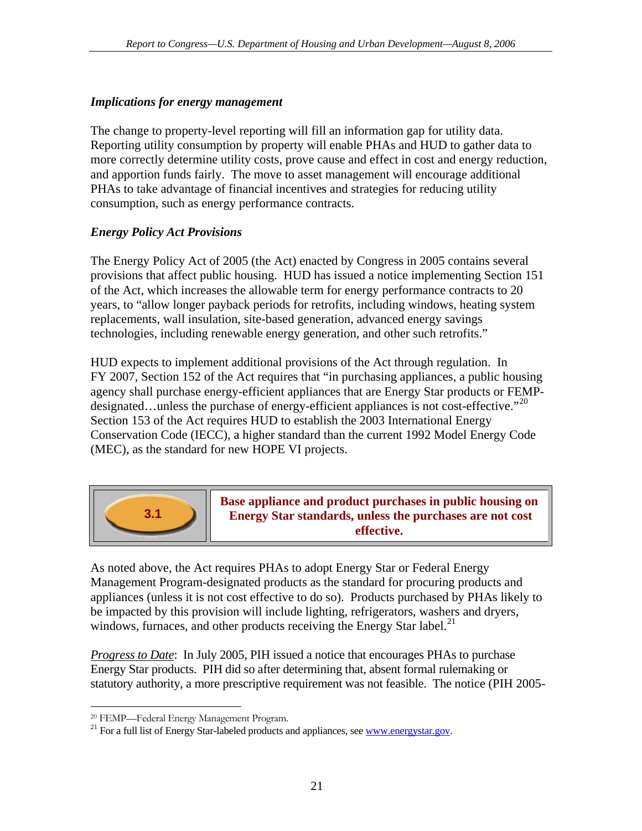### <span id="page-28-0"></span>*Implications for energy management*

The change to property-level reporting will fill an information gap for utility data. Reporting utility consumption by property will enable PHAs and HUD to gather data to more correctly determine utility costs, prove cause and effect in cost and energy reduction, and apportion funds fairly. The move to asset management will encourage additional PHAs to take advantage of financial incentives and strategies for reducing utility consumption, such as energy performance contracts.

### *Energy Policy Act Provisions*

The Energy Policy Act of 2005 (the Act) enacted by Congress in 2005 contains several provisions that affect public housing. HUD has issued a notice implementing Section 151 of the Act, which increases the allowable term for energy performance contracts to 20 years, to "allow longer payback periods for retrofits, including windows, heating system replacements, wall insulation, site-based generation, advanced energy savings technologies, including renewable energy generation, and other such retrofits."

HUD expects to implement additional provisions of the Act through regulation. In FY 2007, Section 152 of the Act requires that "in purchasing appliances, a public housing agency shall purchase energy-efficient appliances that are Energy Star products or FEMP-designated...unless the purchase of energy-efficient appliances is not cost-effective."<sup>[20](#page-28-1)</sup> Section 153 of the Act requires HUD to establish the 2003 International Energy Conservation Code (IECC), a higher standard than the current 1992 Model Energy Code (MEC), as the standard for new HOPE VI projects.



 $\overline{a}$ 

**Base appliance and product purchases in public housing on Energy Star standards, unless the purchases are not cost effective.**

As noted above, the Act requires PHAs to adopt Energy Star or Federal Energy Management Program-designated products as the standard for procuring products and appliances (unless it is not cost effective to do so). Products purchased by PHAs likely to be impacted by this provision will include lighting, refrigerators, washers and dryers, windows, furnaces, and other products receiving the Energy Star label.<sup>[21](#page-28-2)</sup>

*Progress to Date*: In July 2005, PIH issued a notice that encourages PHAs to purchase Energy Star products. PIH did so after determining that, absent formal rulemaking or statutory authority, a more prescriptive requirement was not feasible. The notice (PIH 2005-

<span id="page-28-1"></span><sup>20</sup> FEMP—Federal Energy Management Program.

<span id="page-28-2"></span> $^{21}$  For a full list of Energy Star-labeled products and appliances, see <www.energystar.gov>.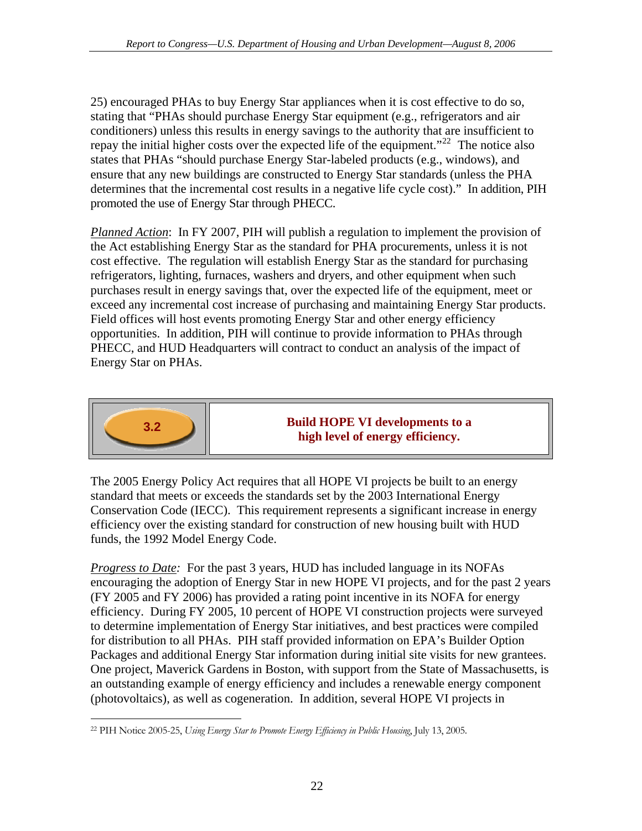25) encouraged PHAs to buy Energy Star appliances when it is cost effective to do so, stating that "PHAs should purchase Energy Star equipment (e.g., refrigerators and air conditioners) unless this results in energy savings to the authority that are insufficient to repay the initial higher costs over the expected life of the equipment."<sup>[22](#page-29-0)</sup> The notice also states that PHAs "should purchase Energy Star-labeled products (e.g., windows), and ensure that any new buildings are constructed to Energy Star standards (unless the PHA determines that the incremental cost results in a negative life cycle cost)." In addition, PIH promoted the use of Energy Star through PHECC.

*Planned Action*: In FY 2007, PIH will publish a regulation to implement the provision of the Act establishing Energy Star as the standard for PHA procurements, unless it is not cost effective. The regulation will establish Energy Star as the standard for purchasing refrigerators, lighting, furnaces, washers and dryers, and other equipment when such purchases result in energy savings that, over the expected life of the equipment, meet or exceed any incremental cost increase of purchasing and maintaining Energy Star products. Field offices will host events promoting Energy Star and other energy efficiency opportunities. In addition, PIH will continue to provide information to PHAs through PHECC, and HUD Headquarters will contract to conduct an analysis of the impact of Energy Star on PHAs.



### **Build HOPE VI developments to a high level of energy efficiency.**

The 2005 Energy Policy Act requires that all HOPE VI projects be built to an energy standard that meets or exceeds the standards set by the 2003 International Energy Conservation Code (IECC). This requirement represents a significant increase in energy efficiency over the existing standard for construction of new housing built with HUD funds, the 1992 Model Energy Code.

*Progress to Date:* For the past 3 years, HUD has included language in its NOFAs encouraging the adoption of Energy Star in new HOPE VI projects, and for the past 2 years (FY 2005 and FY 2006) has provided a rating point incentive in its NOFA for energy efficiency. During FY 2005, 10 percent of HOPE VI construction projects were surveyed to determine implementation of Energy Star initiatives, and best practices were compiled for distribution to all PHAs. PIH staff provided information on EPA's Builder Option Packages and additional Energy Star information during initial site visits for new grantees. One project, Maverick Gardens in Boston, with support from the State of Massachusetts, is an outstanding example of energy efficiency and includes a renewable energy component (photovoltaics), as well as cogeneration. In addition, several HOPE VI projects in

<span id="page-29-0"></span> $\overline{a}$ 22 PIH Notice 2005-25, *Using Energy Star to Promote Energy Efficiency in Public Housing*, July 13, 2005.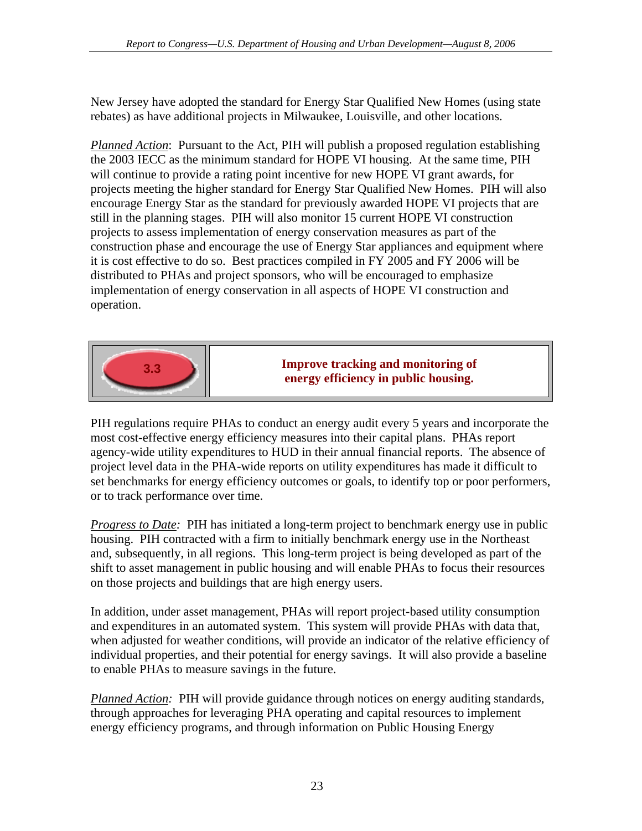New Jersey have adopted the standard for Energy Star Qualified New Homes (using state rebates) as have additional projects in Milwaukee, Louisville, and other locations.

*Planned Action*: Pursuant to the Act, PIH will publish a proposed regulation establishing the 2003 IECC as the minimum standard for HOPE VI housing. At the same time, PIH will continue to provide a rating point incentive for new HOPE VI grant awards, for projects meeting the higher standard for Energy Star Qualified New Homes. PIH will also encourage Energy Star as the standard for previously awarded HOPE VI projects that are still in the planning stages. PIH will also monitor 15 current HOPE VI construction projects to assess implementation of energy conservation measures as part of the construction phase and encourage the use of Energy Star appliances and equipment where it is cost effective to do so. Best practices compiled in FY 2005 and FY 2006 will be distributed to PHAs and project sponsors, who will be encouraged to emphasize implementation of energy conservation in all aspects of HOPE VI construction and operation.



**Improve tracking and monitoring of example 12.3 energy efficiency in public housing.** 

PIH regulations require PHAs to conduct an energy audit every 5 years and incorporate the most cost-effective energy efficiency measures into their capital plans. PHAs report agency-wide utility expenditures to HUD in their annual financial reports. The absence of project level data in the PHA-wide reports on utility expenditures has made it difficult to set benchmarks for energy efficiency outcomes or goals, to identify top or poor performers, or to track performance over time.

*Progress to Date:* PIH has initiated a long-term project to benchmark energy use in public housing. PIH contracted with a firm to initially benchmark energy use in the Northeast and, subsequently, in all regions. This long-term project is being developed as part of the shift to asset management in public housing and will enable PHAs to focus their resources on those projects and buildings that are high energy users.

In addition, under asset management, PHAs will report project-based utility consumption and expenditures in an automated system. This system will provide PHAs with data that, when adjusted for weather conditions, will provide an indicator of the relative efficiency of individual properties, and their potential for energy savings. It will also provide a baseline to enable PHAs to measure savings in the future.

*Planned Action:* PIH will provide guidance through notices on energy auditing standards, through approaches for leveraging PHA operating and capital resources to implement energy efficiency programs, and through information on Public Housing Energy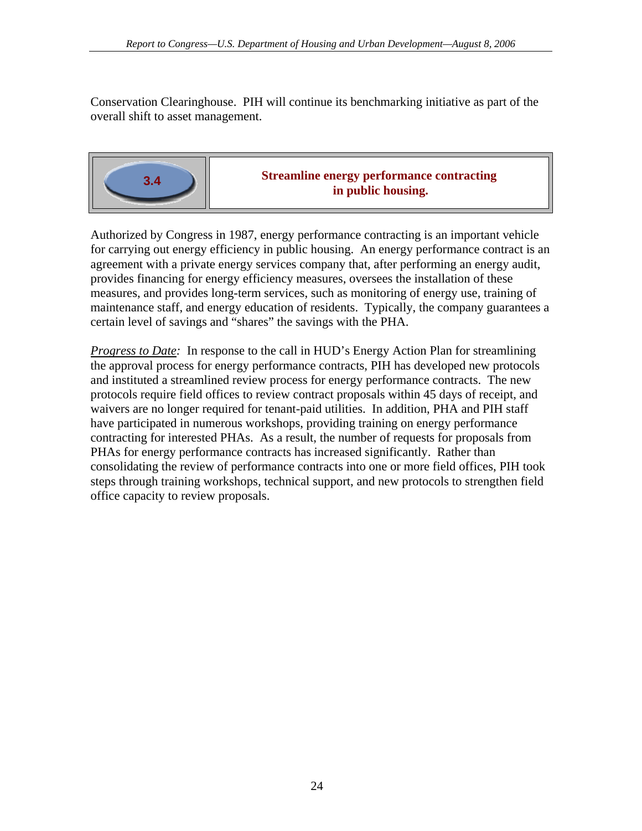Conservation Clearinghouse. PIH will continue its benchmarking initiative as part of the overall shift to asset management.



Authorized by Congress in 1987, energy performance contracting is an important vehicle for carrying out energy efficiency in public housing. An energy performance contract is an agreement with a private energy services company that, after performing an energy audit, provides financing for energy efficiency measures, oversees the installation of these measures, and provides long-term services, such as monitoring of energy use, training of maintenance staff, and energy education of residents. Typically, the company guarantees a certain level of savings and "shares" the savings with the PHA.

*Progress to Date:* In response to the call in HUD's Energy Action Plan for streamlining the approval process for energy performance contracts, PIH has developed new protocols and instituted a streamlined review process for energy performance contracts. The new protocols require field offices to review contract proposals within 45 days of receipt, and waivers are no longer required for tenant-paid utilities. In addition, PHA and PIH staff have participated in numerous workshops, providing training on energy performance contracting for interested PHAs. As a result, the number of requests for proposals from PHAs for energy performance contracts has increased significantly. Rather than consolidating the review of performance contracts into one or more field offices, PIH took steps through training workshops, technical support, and new protocols to strengthen field office capacity to review proposals.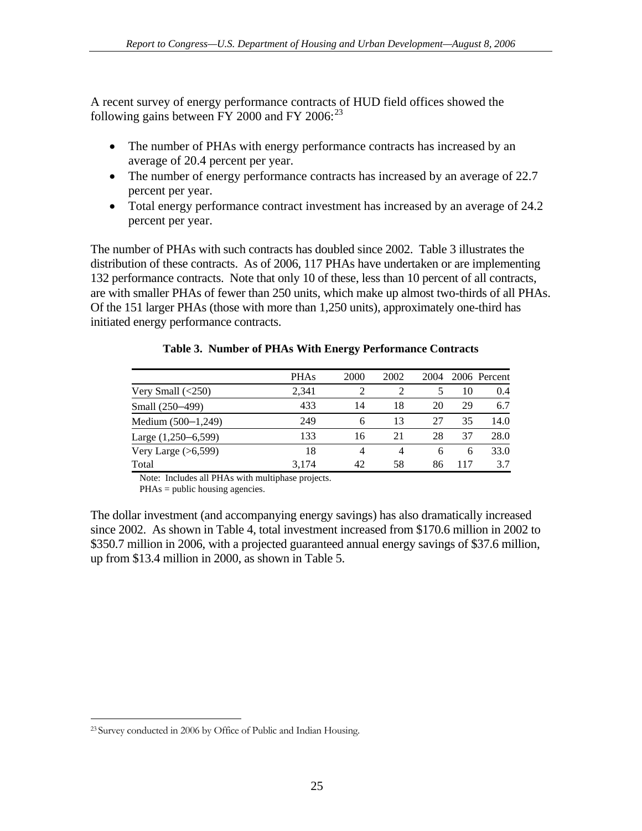<span id="page-32-0"></span>A recent survey of energy performance contracts of HUD field offices showed the following gains between FY 2000 and FY 2006: $^{23}$  $^{23}$  $^{23}$ 

- The number of PHAs with energy performance contracts has increased by an average of 20.4 percent per year.
- The number of energy performance contracts has increased by an average of 22.7 percent per year.
- Total energy performance contract investment has increased by an average of 24.2 percent per year.

The number of PHAs with such contracts has doubled since 2002. Table 3 illustrates the distribution of these contracts. As of 2006, 117 PHAs have undertaken or are implementing 132 performance contracts. Note that only 10 of these, less than 10 percent of all contracts, are with smaller PHAs of fewer than 250 units, which make up almost two-thirds of all PHAs. Of the 151 larger PHAs (those with more than 1,250 units), approximately one-third has initiated energy performance contracts.

| <b>PHAs</b> | 2000 | 2002 | 2004 |     | 2006 Percent |
|-------------|------|------|------|-----|--------------|
| 2,341       |      |      |      | 10  | 0.4          |
| 433         | 14   | 18   | 20   | 29  | 6.7          |
| 249         | 6    | 13   | 27   | 35  | 14.0         |
| 133         | 16   | 21   | 28   | 37  | 28.0         |
| 18          | 4    | 4    | 6    | 6   | 33.0         |
| 3.174       | 42   | 58   | 86   | 117 | 3.7          |
|             |      |      |      |     |              |

#### **Table 3. Number of PHAs With Energy Performance Contracts**

Note: Includes all PHAs with multiphase projects.

PHAs = public housing agencies.

The dollar investment (and accompanying energy savings) has also dramatically increased since 2002. As shown in Table 4, total investment increased from \$170.6 million in 2002 to \$350.7 million in 2006, with a projected guaranteed annual energy savings of \$37.6 million, up from \$13.4 million in 2000, as shown in Table 5.

<span id="page-32-1"></span> $\overline{a}$ 23 Survey conducted in 2006 by Office of Public and Indian Housing.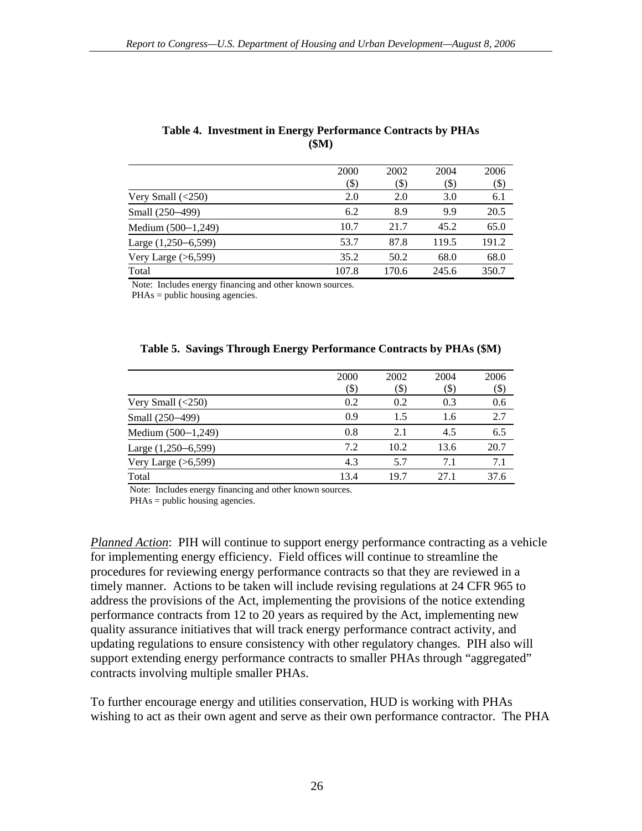|                         | 2000  | 2002    | 2004   | 2006   |
|-------------------------|-------|---------|--------|--------|
|                         | (\$)  | $($ \$) | $(\$)$ | $(\$)$ |
| Very Small $(\leq 250)$ | 2.0   | 2.0     | 3.0    | 6.1    |
| Small (250–499)         | 6.2   | 8.9     | 9.9    | 20.5   |
| Medium $(500-1,249)$    | 10.7  | 21.7    | 45.2   | 65.0   |
| Large $(1,250-6,599)$   | 53.7  | 87.8    | 119.5  | 191.2  |
| Very Large $(>6,599)$   | 35.2  | 50.2    | 68.0   | 68.0   |
| Total                   | 107.8 | 170.6   | 245.6  | 350.7  |

#### <span id="page-33-0"></span>**Table 4. Investment in Energy Performance Contracts by PHAs (\$M)**

Note: Includes energy financing and other known sources.

PHAs = public housing agencies.

|  |  | Table 5. Savings Through Energy Performance Contracts by PHAs (\$M) |  |  |
|--|--|---------------------------------------------------------------------|--|--|
|  |  |                                                                     |  |  |

|                         | 2000 | 2002   | 2004   | 2006   |
|-------------------------|------|--------|--------|--------|
|                         | (\$) | $(\$)$ | $(\$)$ | $(\$)$ |
| Very Small $(\leq 250)$ | 0.2  | 0.2    | 0.3    | 0.6    |
| Small (250-499)         | 0.9  | 1.5    | 1.6    | 2.7    |
| Medium $(500-1,249)$    | 0.8  | 2.1    | 4.5    | 6.5    |
| Large (1,250–6,599)     | 7.2  | 10.2   | 13.6   | 20.7   |
| Very Large $(>6,599)$   | 4.3  | 5.7    | 7.1    | 7.1    |
| Total                   | 13.4 | 19.7   | 27.1   | 37.6   |

Note: Includes energy financing and other known sources.

PHAs = public housing agencies.

*Planned Action*: PIH will continue to support energy performance contracting as a vehicle for implementing energy efficiency. Field offices will continue to streamline the procedures for reviewing energy performance contracts so that they are reviewed in a timely manner. Actions to be taken will include revising regulations at 24 CFR 965 to address the provisions of the Act, implementing the provisions of the notice extending performance contracts from 12 to 20 years as required by the Act, implementing new quality assurance initiatives that will track energy performance contract activity, and updating regulations to ensure consistency with other regulatory changes. PIH also will support extending energy performance contracts to smaller PHAs through "aggregated" contracts involving multiple smaller PHAs.

To further encourage energy and utilities conservation, HUD is working with PHAs wishing to act as their own agent and serve as their own performance contractor. The PHA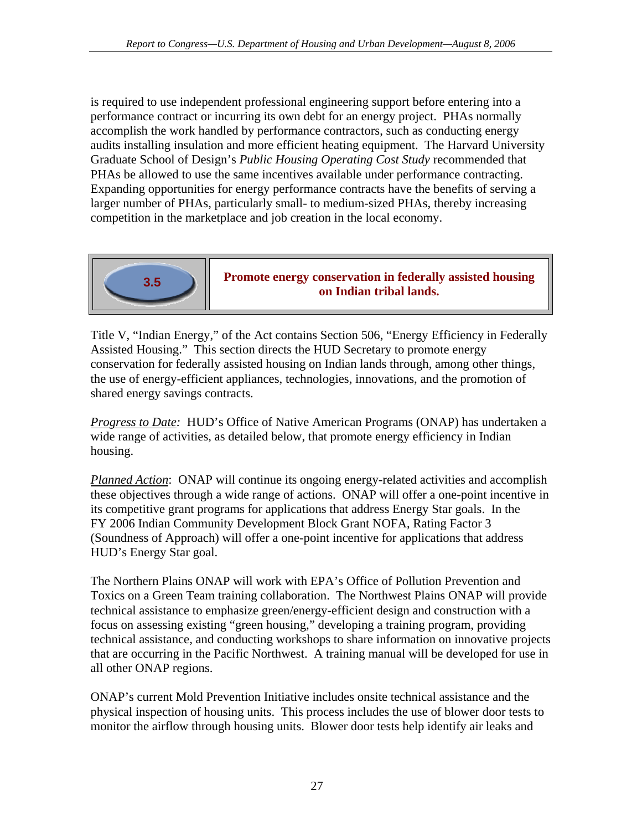is required to use independent professional engineering support before entering into a performance contract or incurring its own debt for an energy project. PHAs normally accomplish the work handled by performance contractors, such as conducting energy audits installing insulation and more efficient heating equipment. The Harvard University Graduate School of Design's *Public Housing Operating Cost Study* recommended that PHAs be allowed to use the same incentives available under performance contracting. Expanding opportunities for energy performance contracts have the benefits of serving a larger number of PHAs, particularly small- to medium-sized PHAs, thereby increasing competition in the marketplace and job creation in the local economy.



**Promote energy conservation in federally assisted housing on Indian tribal lands.** 

Title V, "Indian Energy," of the Act contains Section 506, "Energy Efficiency in Federally Assisted Housing." This section directs the HUD Secretary to promote energy conservation for federally assisted housing on Indian lands through, among other things, the use of energy-efficient appliances, technologies, innovations, and the promotion of shared energy savings contracts.

*Progress to Date:* HUD's Office of Native American Programs (ONAP) has undertaken a wide range of activities, as detailed below, that promote energy efficiency in Indian housing.

*Planned Action*: ONAP will continue its ongoing energy-related activities and accomplish these objectives through a wide range of actions. ONAP will offer a one-point incentive in its competitive grant programs for applications that address Energy Star goals. In the FY 2006 Indian Community Development Block Grant NOFA, Rating Factor 3 (Soundness of Approach) will offer a one-point incentive for applications that address HUD's Energy Star goal.

The Northern Plains ONAP will work with EPA's Office of Pollution Prevention and Toxics on a Green Team training collaboration. The Northwest Plains ONAP will provide technical assistance to emphasize green/energy-efficient design and construction with a focus on assessing existing "green housing," developing a training program, providing technical assistance, and conducting workshops to share information on innovative projects that are occurring in the Pacific Northwest. A training manual will be developed for use in all other ONAP regions.

ONAP's current Mold Prevention Initiative includes onsite technical assistance and the physical inspection of housing units. This process includes the use of blower door tests to monitor the airflow through housing units. Blower door tests help identify air leaks and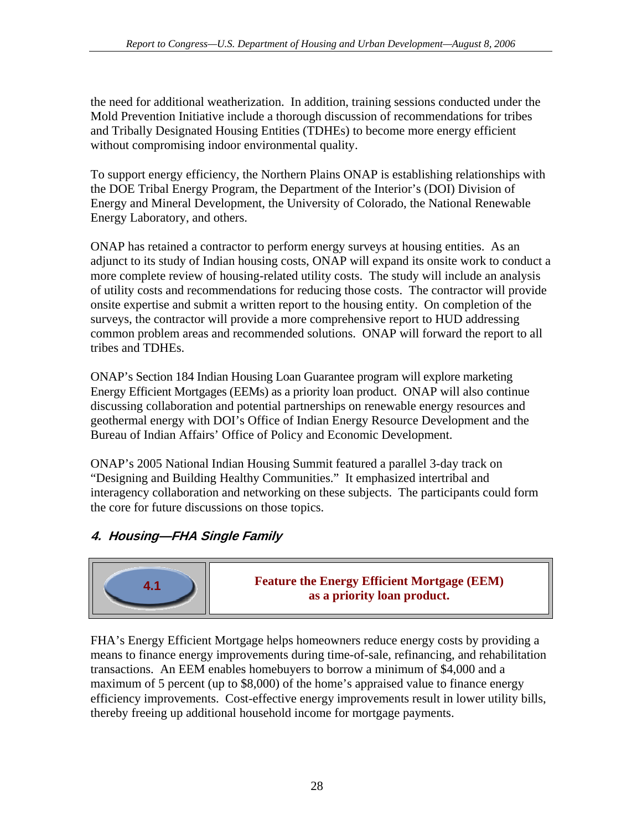<span id="page-35-0"></span>the need for additional weatherization. In addition, training sessions conducted under the Mold Prevention Initiative include a thorough discussion of recommendations for tribes and Tribally Designated Housing Entities (TDHEs) to become more energy efficient without compromising indoor environmental quality.

To support energy efficiency, the Northern Plains ONAP is establishing relationships with the DOE Tribal Energy Program, the Department of the Interior's (DOI) Division of Energy and Mineral Development, the University of Colorado, the National Renewable Energy Laboratory, and others.

ONAP has retained a contractor to perform energy surveys at housing entities. As an adjunct to its study of Indian housing costs, ONAP will expand its onsite work to conduct a more complete review of housing-related utility costs. The study will include an analysis of utility costs and recommendations for reducing those costs. The contractor will provide onsite expertise and submit a written report to the housing entity. On completion of the surveys, the contractor will provide a more comprehensive report to HUD addressing common problem areas and recommended solutions. ONAP will forward the report to all tribes and TDHEs.

ONAP's Section 184 Indian Housing Loan Guarantee program will explore marketing Energy Efficient Mortgages (EEMs) as a priority loan product. ONAP will also continue discussing collaboration and potential partnerships on renewable energy resources and geothermal energy with DOI's Office of Indian Energy Resource Development and the Bureau of Indian Affairs' Office of Policy and Economic Development.

ONAP's 2005 National Indian Housing Summit featured a parallel 3-day track on "Designing and Building Healthy Communities." It emphasized intertribal and interagency collaboration and networking on these subjects. The participants could form the core for future discussions on those topics.

# **4. Housing—FHA Single Family**



**Feature the Energy Efficient Mortgage (EEM) as a priority loan product.**<br>**as a priority loan product.** 

FHA's Energy Efficient Mortgage helps homeowners reduce energy costs by providing a means to finance energy improvements during time-of-sale, refinancing, and rehabilitation transactions. An EEM enables homebuyers to borrow a minimum of \$4,000 and a maximum of 5 percent (up to \$8,000) of the home's appraised value to finance energy efficiency improvements. Cost-effective energy improvements result in lower utility bills, thereby freeing up additional household income for mortgage payments.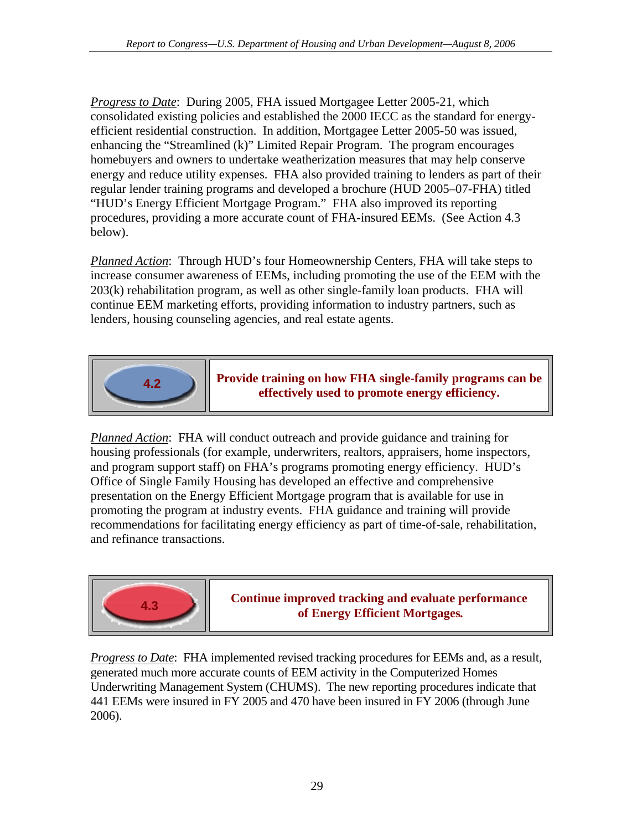*Progress to Date*: During 2005, FHA issued Mortgagee Letter 2005-21, which consolidated existing policies and established the 2000 IECC as the standard for energyefficient residential construction. In addition, Mortgagee Letter 2005-50 was issued, enhancing the "Streamlined (k)" Limited Repair Program. The program encourages homebuyers and owners to undertake weatherization measures that may help conserve energy and reduce utility expenses. FHA also provided training to lenders as part of their regular lender training programs and developed a brochure (HUD 2005–07-FHA) titled "HUD's Energy Efficient Mortgage Program." FHA also improved its reporting procedures, providing a more accurate count of FHA-insured EEMs. (See Action 4.3 below).

*Planned Action*: Through HUD's four Homeownership Centers, FHA will take steps to increase consumer awareness of EEMs, including promoting the use of the EEM with the 203(k) rehabilitation program, as well as other single-family loan products. FHA will continue EEM marketing efforts, providing information to industry partners, such as lenders, housing counseling agencies, and real estate agents.



**Provide training on how FHA single-family programs can be effectively used to promote energy efficiency.** 

*Planned Action*: FHA will conduct outreach and provide guidance and training for housing professionals (for example, underwriters, realtors, appraisers, home inspectors, and program support staff) on FHA's programs promoting energy efficiency. HUD's Office of Single Family Housing has developed an effective and comprehensive presentation on the Energy Efficient Mortgage program that is available for use in promoting the program at industry events. FHA guidance and training will provide recommendations for facilitating energy efficiency as part of time-of-sale, rehabilitation, and refinance transactions.



*Progress to Date*: FHA implemented revised tracking procedures for EEMs and, as a result, generated much more accurate counts of EEM activity in the Computerized Homes Underwriting Management System (CHUMS). The new reporting procedures indicate that 441 EEMs were insured in FY 2005 and 470 have been insured in FY 2006 (through June 2006).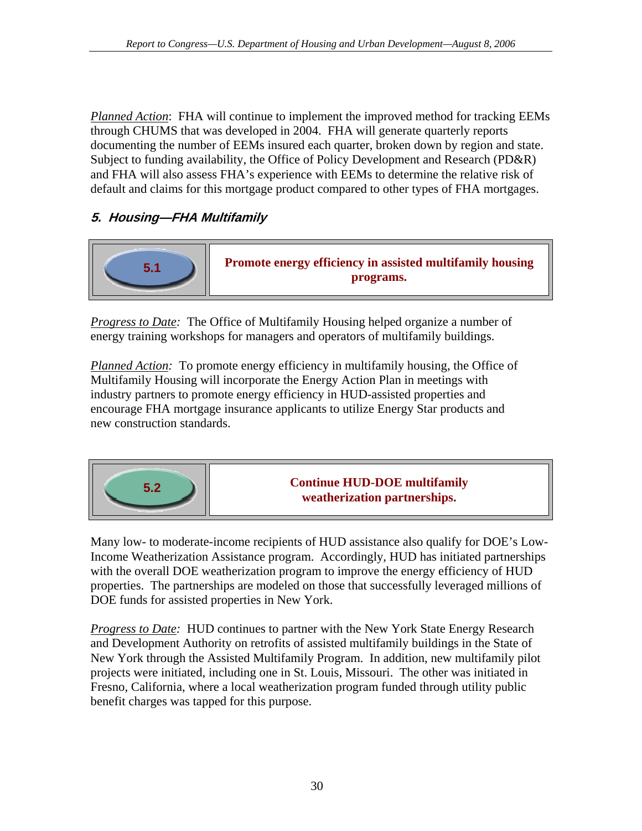<span id="page-37-0"></span>*Planned Action*: FHA will continue to implement the improved method for tracking EEMs through CHUMS that was developed in 2004. FHA will generate quarterly reports documenting the number of EEMs insured each quarter, broken down by region and state. Subject to funding availability, the Office of Policy Development and Research (PD&R) and FHA will also assess FHA's experience with EEMs to determine the relative risk of default and claims for this mortgage product compared to other types of FHA mortgages.

# **5. Housing—FHA Multifamily**



*Progress to Date:* The Office of Multifamily Housing helped organize a number of energy training workshops for managers and operators of multifamily buildings.

*Planned Action:* To promote energy efficiency in multifamily housing, the Office of Multifamily Housing will incorporate the Energy Action Plan in meetings with industry partners to promote energy efficiency in HUD-assisted properties and encourage FHA mortgage insurance applicants to utilize Energy Star products and new construction standards.



**Continue HUD-DOE multifamily weatherization partnerships.**

Many low- to moderate-income recipients of HUD assistance also qualify for DOE's Low-Income Weatherization Assistance program. Accordingly, HUD has initiated partnerships with the overall DOE weatherization program to improve the energy efficiency of HUD properties. The partnerships are modeled on those that successfully leveraged millions of DOE funds for assisted properties in New York.

*Progress to Date:* HUD continues to partner with the New York State Energy Research and Development Authority on retrofits of assisted multifamily buildings in the State of New York through the Assisted Multifamily Program. In addition, new multifamily pilot projects were initiated, including one in St. Louis, Missouri. The other was initiated in Fresno, California, where a local weatherization program funded through utility public benefit charges was tapped for this purpose.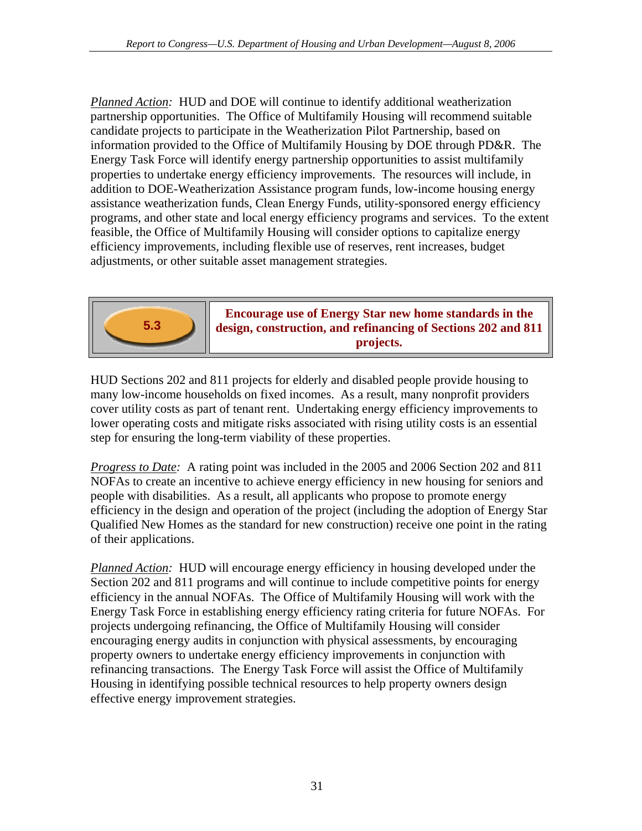*Planned Action:* HUD and DOE will continue to identify additional weatherization partnership opportunities. The Office of Multifamily Housing will recommend suitable candidate projects to participate in the Weatherization Pilot Partnership, based on information provided to the Office of Multifamily Housing by DOE through PD&R. The Energy Task Force will identify energy partnership opportunities to assist multifamily properties to undertake energy efficiency improvements. The resources will include, in addition to DOE-Weatherization Assistance program funds, low-income housing energy assistance weatherization funds, Clean Energy Funds, utility-sponsored energy efficiency programs, and other state and local energy efficiency programs and services. To the extent feasible, the Office of Multifamily Housing will consider options to capitalize energy efficiency improvements, including flexible use of reserves, rent increases, budget adjustments, or other suitable asset management strategies.



### **Encourage use of Energy Star new home standards in the design, construction, and refinancing of Sections 202 and 811 projects.**

HUD Sections 202 and 811 projects for elderly and disabled people provide housing to many low-income households on fixed incomes. As a result, many nonprofit providers cover utility costs as part of tenant rent. Undertaking energy efficiency improvements to lower operating costs and mitigate risks associated with rising utility costs is an essential step for ensuring the long-term viability of these properties.

*Progress to Date:* A rating point was included in the 2005 and 2006 Section 202 and 811 NOFAs to create an incentive to achieve energy efficiency in new housing for seniors and people with disabilities. As a result, all applicants who propose to promote energy efficiency in the design and operation of the project (including the adoption of Energy Star Qualified New Homes as the standard for new construction) receive one point in the rating of their applications.

*Planned Action:* HUD will encourage energy efficiency in housing developed under the Section 202 and 811 programs and will continue to include competitive points for energy efficiency in the annual NOFAs. The Office of Multifamily Housing will work with the Energy Task Force in establishing energy efficiency rating criteria for future NOFAs. For projects undergoing refinancing, the Office of Multifamily Housing will consider encouraging energy audits in conjunction with physical assessments, by encouraging property owners to undertake energy efficiency improvements in conjunction with refinancing transactions. The Energy Task Force will assist the Office of Multifamily Housing in identifying possible technical resources to help property owners design effective energy improvement strategies.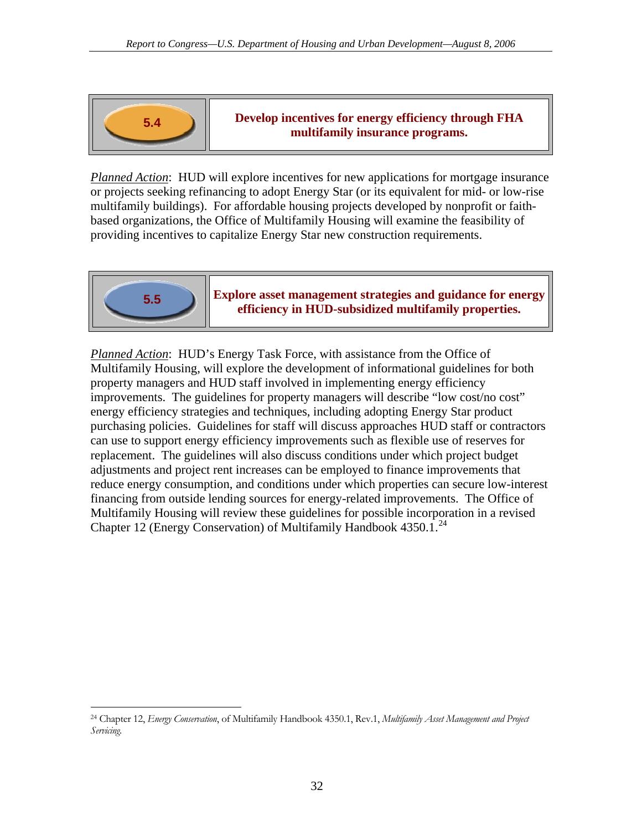

### **Develop incentives for energy efficiency through FHA 5.4 Develop incentives for energy efficiency throw multifamily insurance programs.**

*Planned Action*: HUD will explore incentives for new applications for mortgage insurance or projects seeking refinancing to adopt Energy Star (or its equivalent for mid- or low-rise multifamily buildings). For affordable housing projects developed by nonprofit or faithbased organizations, the Office of Multifamily Housing will examine the feasibility of providing incentives to capitalize Energy Star new construction requirements.



### **Explore asset management strategies and guidance for energy efficiency in HUD-subsidized multifamily properties.****5.5**

*Planned Action*: HUD's Energy Task Force, with assistance from the Office of Multifamily Housing, will explore the development of informational guidelines for both property managers and HUD staff involved in implementing energy efficiency improvements. The guidelines for property managers will describe "low cost/no cost" energy efficiency strategies and techniques, including adopting Energy Star product purchasing policies. Guidelines for staff will discuss approaches HUD staff or contractors can use to support energy efficiency improvements such as flexible use of reserves for replacement. The guidelines will also discuss conditions under which project budget adjustments and project rent increases can be employed to finance improvements that reduce energy consumption, and conditions under which properties can secure low-interest financing from outside lending sources for energy-related improvements. The Office of Multifamily Housing will review these guidelines for possible incorporation in a revised Chapter 12 (Energy Conservation) of Multifamily Handbook 4350.1.[24](#page-39-0)

<span id="page-39-0"></span> $\overline{a}$ 24 Chapter 12, *Energy Conservation*, of Multifamily Handbook 4350.1, Rev.1, *Multifamily Asset Management and Project Servicing.*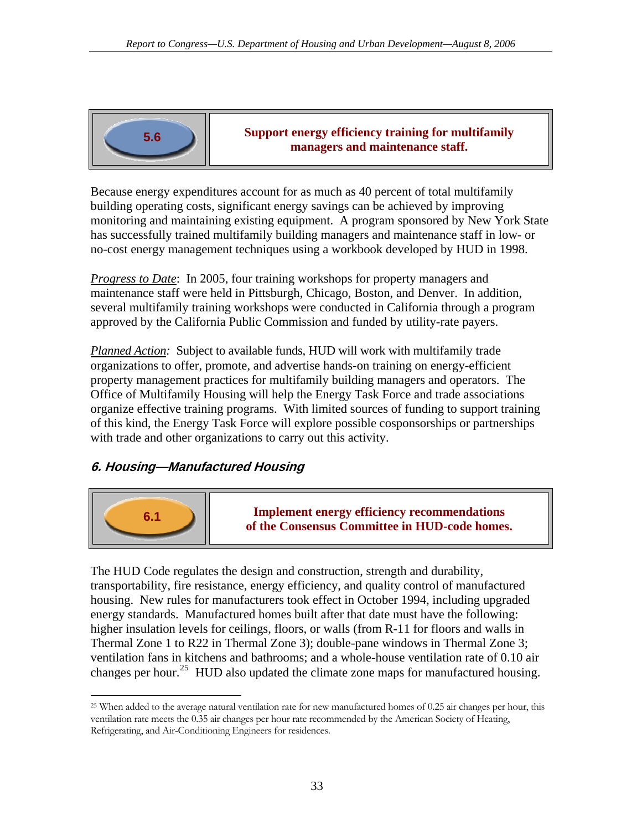<span id="page-40-0"></span>

**Support energy efficiency training for multifamily**  5.6 **b managers** and maintenance staff.

Because energy expenditures account for as much as 40 percent of total multifamily building operating costs, significant energy savings can be achieved by improving monitoring and maintaining existing equipment. A program sponsored by New York State has successfully trained multifamily building managers and maintenance staff in low- or no-cost energy management techniques using a workbook developed by HUD in 1998.

*Progress to Date*: In 2005, four training workshops for property managers and maintenance staff were held in Pittsburgh, Chicago, Boston, and Denver. In addition, several multifamily training workshops were conducted in California through a program approved by the California Public Commission and funded by utility-rate payers.

*Planned Action:* Subject to available funds, HUD will work with multifamily trade organizations to offer, promote, and advertise hands-on training on energy-efficient property management practices for multifamily building managers and operators. The Office of Multifamily Housing will help the Energy Task Force and trade associations organize effective training programs. With limited sources of funding to support training of this kind, the Energy Task Force will explore possible cosponsorships or partnerships with trade and other organizations to carry out this activity.

### **6. Housing—Manufactured Housing**



 $\overline{a}$ 

**Implement energy efficiency recommendations of the Consensus Committee in HUD-code homes.**

The HUD Code regulates the design and construction, strength and durability, transportability, fire resistance, energy efficiency, and quality control of manufactured housing. New rules for manufacturers took effect in October 1994, including upgraded energy standards. Manufactured homes built after that date must have the following: higher insulation levels for ceilings, floors, or walls (from R-11 for floors and walls in Thermal Zone 1 to R22 in Thermal Zone 3); double-pane windows in Thermal Zone 3; ventilation fans in kitchens and bathrooms; and a whole-house ventilation rate of 0.10 air changes per hour.<sup>[25](#page-40-1)</sup> HUD also updated the climate zone maps for manufactured housing.

<span id="page-40-1"></span><sup>&</sup>lt;sup>25</sup> When added to the average natural ventilation rate for new manufactured homes of 0.25 air changes per hour, this ventilation rate meets the 0.35 air changes per hour rate recommended by the American Society of Heating, Refrigerating, and Air-Conditioning Engineers for residences.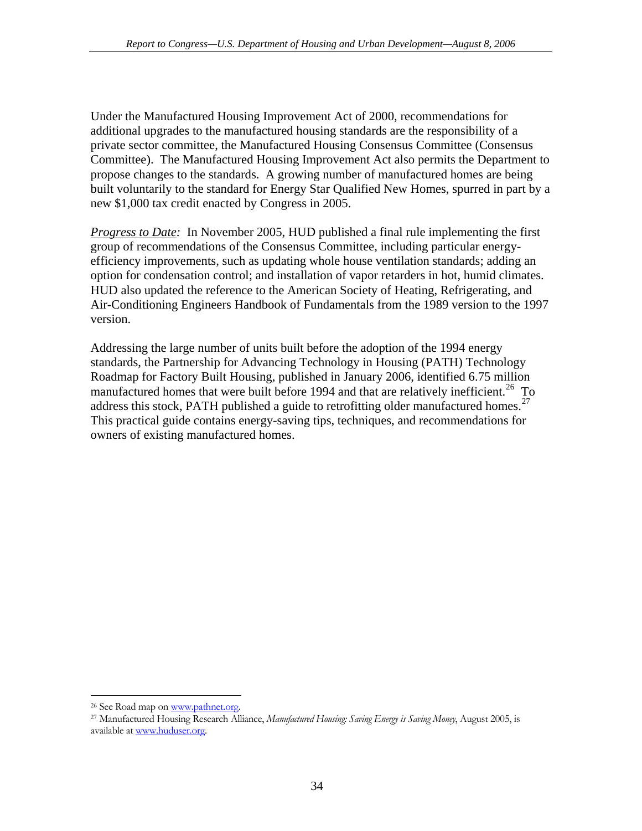Under the Manufactured Housing Improvement Act of 2000, recommendations for additional upgrades to the manufactured housing standards are the responsibility of a private sector committee, the Manufactured Housing Consensus Committee (Consensus Committee). The Manufactured Housing Improvement Act also permits the Department to propose changes to the standards. A growing number of manufactured homes are being built voluntarily to the standard for Energy Star Qualified New Homes, spurred in part by a new \$1,000 tax credit enacted by Congress in 2005.

*Progress to Date:* In November 2005, HUD published a final rule implementing the first group of recommendations of the Consensus Committee, including particular energyefficiency improvements, such as updating whole house ventilation standards; adding an option for condensation control; and installation of vapor retarders in hot, humid climates. HUD also updated the reference to the American Society of Heating, Refrigerating, and Air-Conditioning Engineers Handbook of Fundamentals from the 1989 version to the 1997 version.

Addressing the large number of units built before the adoption of the 1994 energy standards, the Partnership for Advancing Technology in Housing (PATH) Technology Roadmap for Factory Built Housing, published in January 2006, identified 6.75 million manufactured homes that were built before 1994 and that are relatively inefficient.<sup>[26](#page-41-0)</sup> To address this stock, PATH published a guide to retrofitting older manufactured homes.<sup>[27](#page-41-1)</sup> This practical guide contains energy-saving tips, techniques, and recommendations for owners of existing manufactured homes.

 $\overline{a}$ 

<span id="page-41-1"></span><span id="page-41-0"></span><sup>&</sup>lt;sup>26</sup> See Road map on<www.pathnet.org>.<br><sup>27</sup> Manufactured Housing Research Alliance, *Manufactured Housing: Saving Energy is Saving Money*, August 2005, is available at [www.huduser.org](http://www.huduser.org/).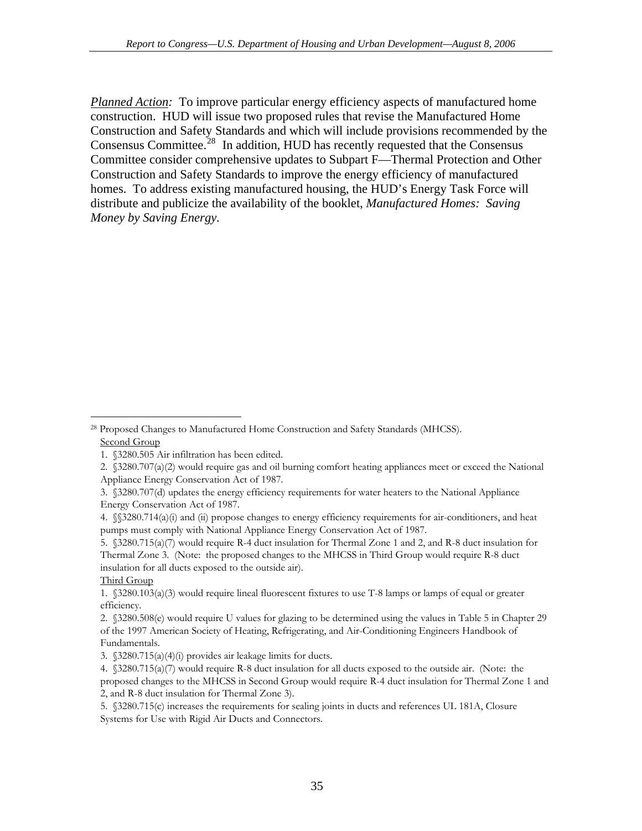*Planned Action:* To improve particular energy efficiency aspects of manufactured home construction. HUD will issue two proposed rules that revise the Manufactured Home Construction and Safety Standards and which will include provisions recommended by the Consensus Committee.<sup>[28](#page-42-0)</sup> In addition, HUD has recently requested that the Consensus Committee consider comprehensive updates to Subpart F—Thermal Protection and Other Construction and Safety Standards to improve the energy efficiency of manufactured homes. To address existing manufactured housing, the HUD's Energy Task Force will distribute and publicize the availability of the booklet, *Manufactured Homes: Saving Money by Saving Energy.* 

#### Third Group

 $\overline{a}$ 

<span id="page-42-0"></span><sup>28</sup> Proposed Changes to Manufactured Home Construction and Safety Standards (MHCSS). Second Group

<sup>1. §3280.505</sup> Air infiltration has been edited.

<sup>2. §3280.707(</sup>a)(2) would require gas and oil burning comfort heating appliances meet or exceed the National Appliance Energy Conservation Act of 1987.

<sup>3. §3280.707(</sup>d) updates the energy efficiency requirements for water heaters to the National Appliance Energy Conservation Act of 1987.

<sup>4. §§3280.714(</sup>a)(i) and (ii) propose changes to energy efficiency requirements for air-conditioners, and heat pumps must comply with National Appliance Energy Conservation Act of 1987.

<sup>5. §3280.715(</sup>a)(7) would require R-4 duct insulation for Thermal Zone 1 and 2, and R-8 duct insulation for Thermal Zone 3. (Note: the proposed changes to the MHCSS in Third Group would require R-8 duct insulation for all ducts exposed to the outside air).

<sup>1. §3280.103(</sup>a)(3) would require lineal fluorescent fixtures to use T-8 lamps or lamps of equal or greater efficiency.

<sup>2. §3280.508(</sup>e) would require U values for glazing to be determined using the values in Table 5 in Chapter 29 of the 1997 American Society of Heating, Refrigerating, and Air-Conditioning Engineers Handbook of Fundamentals.

<sup>3. §3280.715(</sup>a)(4)(i) provides air leakage limits for ducts.

<sup>4. §3280.715(</sup>a)(7) would require R-8 duct insulation for all ducts exposed to the outside air. (Note: the proposed changes to the MHCSS in Second Group would require R-4 duct insulation for Thermal Zone 1 and 2, and R-8 duct insulation for Thermal Zone 3).

<sup>5. §3280.715(</sup>c) increases the requirements for sealing joints in ducts and references UL 181A, Closure Systems for Use with Rigid Air Ducts and Connectors.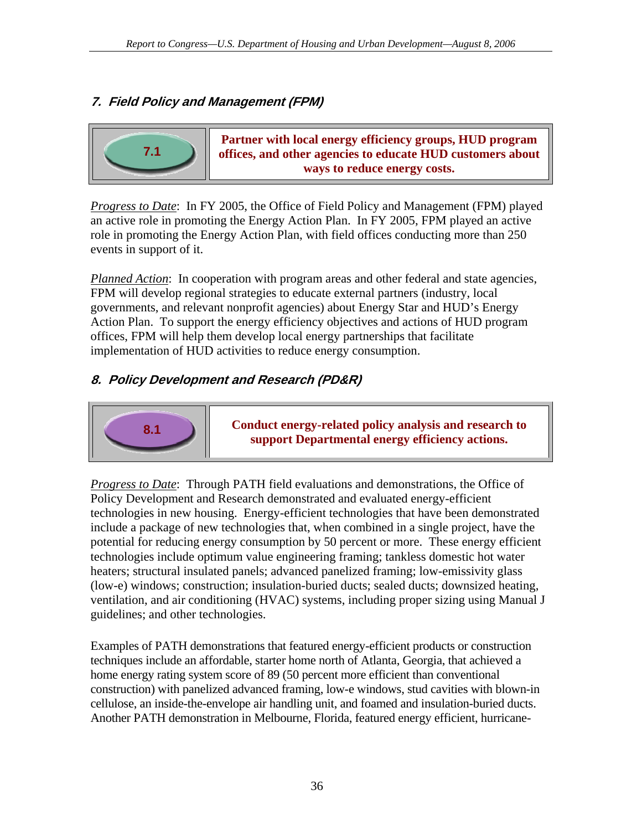# <span id="page-43-0"></span>**7. Field Policy and Management (FPM)**



**Partner with local energy efficiency groups, HUD program offices, and other agencies to educate HUD customers about ways to reduce energy costs.**

*Progress to Date*: In FY 2005, the Office of Field Policy and Management (FPM) played an active role in promoting the Energy Action Plan. In FY 2005, FPM played an active role in promoting the Energy Action Plan, with field offices conducting more than 250 events in support of it.

*Planned Action*: In cooperation with program areas and other federal and state agencies, FPM will develop regional strategies to educate external partners (industry, local governments, and relevant nonprofit agencies) about Energy Star and HUD's Energy Action Plan. To support the energy efficiency objectives and actions of HUD program offices, FPM will help them develop local energy partnerships that facilitate implementation of HUD activities to reduce energy consumption.

# **8. Policy Development and Research (PD&R)**



**Conduct energy-related policy analysis and research to support Departmental energy efficiency actions.** 

*Progress to Date*: Through PATH field evaluations and demonstrations, the Office of Policy Development and Research demonstrated and evaluated energy-efficient technologies in new housing. Energy-efficient technologies that have been demonstrated include a package of new technologies that, when combined in a single project, have the potential for reducing energy consumption by 50 percent or more. These energy efficient technologies include optimum value engineering framing; tankless domestic hot water heaters; structural insulated panels; advanced panelized framing; low-emissivity glass (low-e) windows; construction; insulation-buried ducts; sealed ducts; downsized heating, ventilation, and air conditioning (HVAC) systems, including proper sizing using Manual J guidelines; and other technologies.

Examples of PATH demonstrations that featured energy-efficient products or construction techniques include an affordable, starter home north of Atlanta, Georgia, that achieved a home energy rating system score of 89 (50 percent more efficient than conventional construction) with panelized advanced framing, low-e windows, stud cavities with blown-in cellulose, an inside-the-envelope air handling unit, and foamed and insulation-buried ducts. Another PATH demonstration in Melbourne, Florida, featured energy efficient, hurricane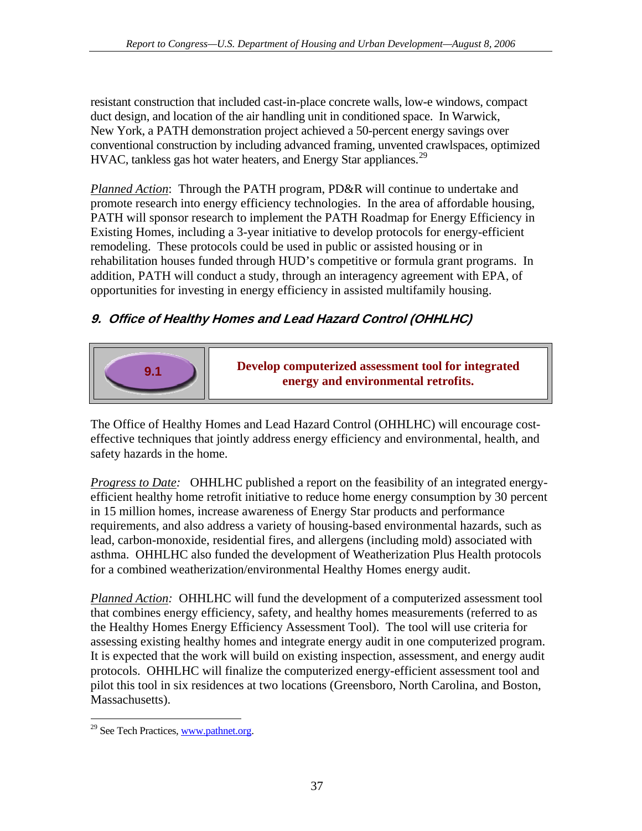<span id="page-44-0"></span>resistant construction that included cast-in-place concrete walls, low-e windows, compact duct design, and location of the air handling unit in conditioned space. In Warwick, New York, a PATH demonstration project achieved a 50-percent energy savings over conventional construction by including advanced framing, unvented crawlspaces, optimized HVAC, tankless gas hot water heaters, and Energy Star appliances.<sup>[29](#page-44-1)</sup>

*Planned Action*: Through the PATH program, PD&R will continue to undertake and promote research into energy efficiency technologies. In the area of affordable housing, PATH will sponsor research to implement the PATH Roadmap for Energy Efficiency in Existing Homes, including a 3-year initiative to develop protocols for energy-efficient remodeling. These protocols could be used in public or assisted housing or in rehabilitation houses funded through HUD's competitive or formula grant programs. In addition, PATH will conduct a study, through an interagency agreement with EPA, of opportunities for investing in energy efficiency in assisted multifamily housing.

# **9. Office of Healthy Homes and Lead Hazard Control (OHHLHC)**



**Develop computerized assessment tool for integrated energy and environmental retrofits.**

The Office of Healthy Homes and Lead Hazard Control (OHHLHC) will encourage costeffective techniques that jointly address energy efficiency and environmental, health, and safety hazards in the home.

*Progress to Date:* OHHLHC published a report on the feasibility of an integrated energyefficient healthy home retrofit initiative to reduce home energy consumption by 30 percent in 15 million homes, increase awareness of Energy Star products and performance requirements, and also address a variety of housing-based environmental hazards, such as lead, carbon-monoxide, residential fires, and allergens (including mold) associated with asthma. OHHLHC also funded the development of Weatherization Plus Health protocols for a combined weatherization/environmental Healthy Homes energy audit.

*Planned Action:* OHHLHC will fund the development of a computerized assessment tool that combines energy efficiency, safety, and healthy homes measurements (referred to as the Healthy Homes Energy Efficiency Assessment Tool). The tool will use criteria for assessing existing healthy homes and integrate energy audit in one computerized program. It is expected that the work will build on existing inspection, assessment, and energy audit protocols. OHHLHC will finalize the computerized energy-efficient assessment tool and pilot this tool in six residences at two locations (Greensboro, North Carolina, and Boston, Massachusetts).

<span id="page-44-1"></span> $\overline{a}$  $29$  See Tech Practices, [www.pathnet.org.](www.pathnet.org)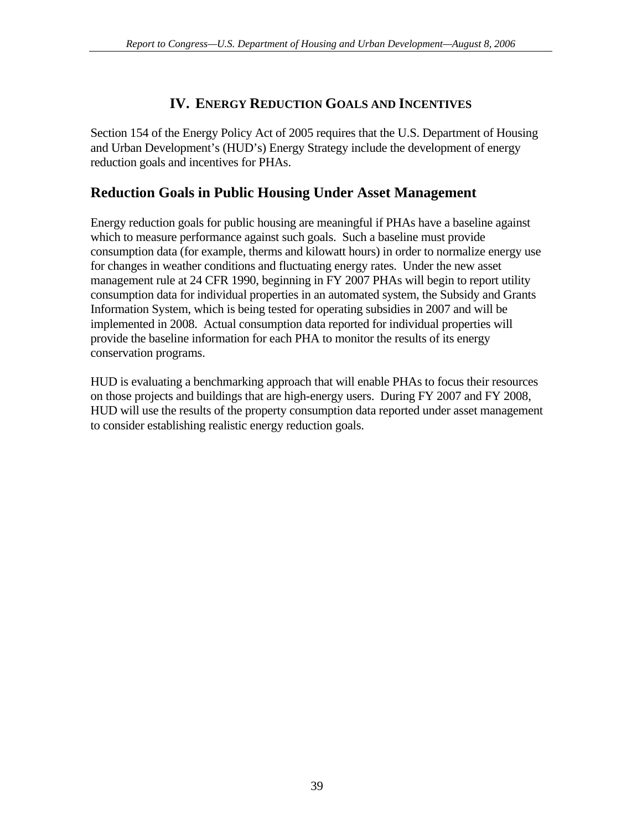# **IV. ENERGY REDUCTION GOALS AND INCENTIVES**

<span id="page-46-0"></span>Section 154 of the Energy Policy Act of 2005 requires that the U.S. Department of Housing and Urban Development's (HUD's) Energy Strategy include the development of energy reduction goals and incentives for PHAs.

# **Reduction Goals in Public Housing Under Asset Management**

Energy reduction goals for public housing are meaningful if PHAs have a baseline against which to measure performance against such goals. Such a baseline must provide consumption data (for example, therms and kilowatt hours) in order to normalize energy use for changes in weather conditions and fluctuating energy rates. Under the new asset management rule at 24 CFR 1990, beginning in FY 2007 PHAs will begin to report utility consumption data for individual properties in an automated system, the Subsidy and Grants Information System, which is being tested for operating subsidies in 2007 and will be implemented in 2008. Actual consumption data reported for individual properties will provide the baseline information for each PHA to monitor the results of its energy conservation programs.

HUD is evaluating a benchmarking approach that will enable PHAs to focus their resources on those projects and buildings that are high-energy users. During FY 2007 and FY 2008, HUD will use the results of the property consumption data reported under asset management to consider establishing realistic energy reduction goals.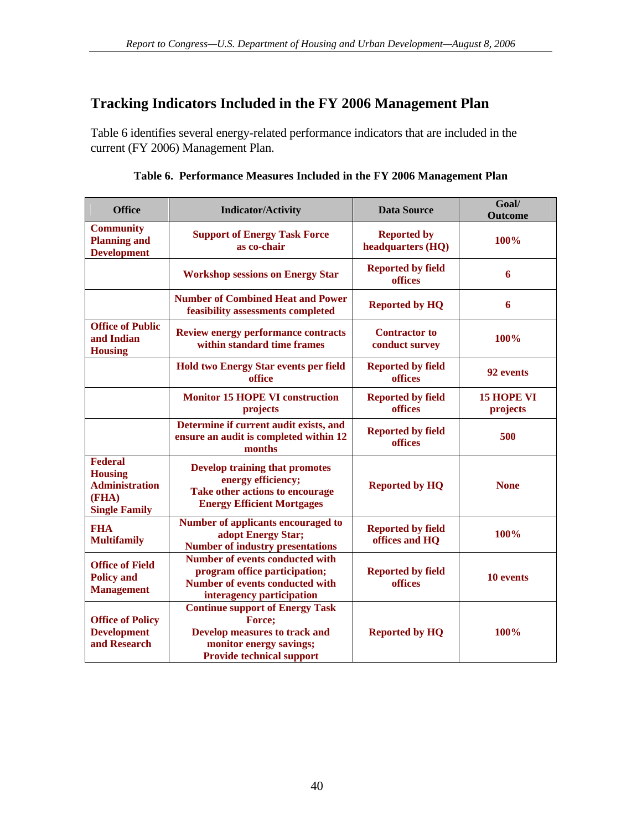# <span id="page-47-0"></span>**Tracking Indicators Included in the FY 2006 Management Plan**

Table 6 identifies several energy-related performance indicators that are included in the current (FY 2006) Management Plan.

| <b>Office</b>                                                                              | <b>Indicator/Activity</b>                                                                                                                               | <b>Data Source</b>                         | Goal/<br><b>Outcome</b>       |
|--------------------------------------------------------------------------------------------|---------------------------------------------------------------------------------------------------------------------------------------------------------|--------------------------------------------|-------------------------------|
| <b>Community</b><br><b>Planning and</b><br><b>Development</b>                              | <b>Support of Energy Task Force</b><br>as co-chair                                                                                                      | <b>Reported by</b><br>headquarters (HQ)    | 100%                          |
|                                                                                            | <b>Workshop sessions on Energy Star</b>                                                                                                                 | <b>Reported by field</b><br>offices        | 6                             |
|                                                                                            | <b>Number of Combined Heat and Power</b><br>feasibility assessments completed                                                                           | <b>Reported by HQ</b>                      | 6                             |
| <b>Office of Public</b><br>and Indian<br><b>Housing</b>                                    | <b>Review energy performance contracts</b><br>within standard time frames                                                                               | <b>Contractor to</b><br>conduct survey     | 100%                          |
|                                                                                            | <b>Hold two Energy Star events per field</b><br>office                                                                                                  | <b>Reported by field</b><br>offices        | 92 events                     |
|                                                                                            | <b>Monitor 15 HOPE VI construction</b><br>projects                                                                                                      | <b>Reported by field</b><br>offices        | <b>15 HOPE VI</b><br>projects |
|                                                                                            | Determine if current audit exists, and<br>ensure an audit is completed within 12<br>months                                                              | <b>Reported by field</b><br>offices        | 500                           |
| <b>Federal</b><br><b>Housing</b><br><b>Administration</b><br>(FHA)<br><b>Single Family</b> | <b>Develop training that promotes</b><br>energy efficiency;<br>Take other actions to encourage<br><b>Energy Efficient Mortgages</b>                     | <b>Reported by HQ</b>                      | <b>None</b>                   |
| <b>FHA</b><br><b>Multifamily</b>                                                           | Number of applicants encouraged to<br>adopt Energy Star;<br><b>Number of industry presentations</b>                                                     | <b>Reported by field</b><br>offices and HQ | 100%                          |
| <b>Office of Field</b><br><b>Policy and</b><br><b>Management</b>                           | <b>Number of events conducted with</b><br>program office participation;<br><b>Number of events conducted with</b><br>interagency participation          | <b>Reported by field</b><br>offices        | 10 events                     |
| <b>Office of Policy</b><br><b>Development</b><br>and Research                              | <b>Continue support of Energy Task</b><br>Force;<br><b>Develop measures to track and</b><br>monitor energy savings;<br><b>Provide technical support</b> | <b>Reported by HQ</b>                      | 100%                          |

**Table 6. Performance Measures Included in the FY 2006 Management Plan**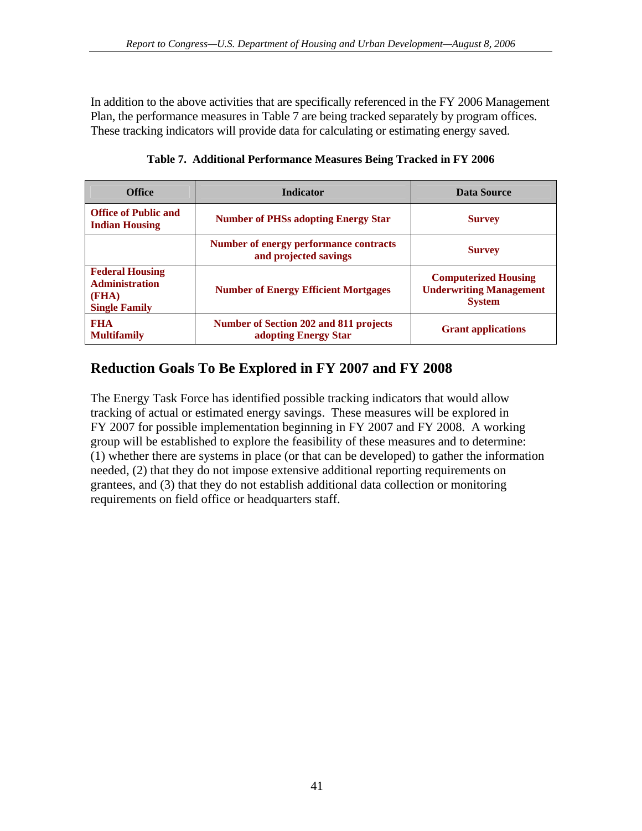<span id="page-48-0"></span>In addition to the above activities that are specifically referenced in the FY 2006 Management Plan, the performance measures in Table 7 are being tracked separately by program offices. These tracking indicators will provide data for calculating or estimating energy saved.

| <b>Office</b>                                                                    | <b>Indicator</b>                                                       | Data Source                                                                    |
|----------------------------------------------------------------------------------|------------------------------------------------------------------------|--------------------------------------------------------------------------------|
| <b>Office of Public and</b><br><b>Indian Housing</b>                             | <b>Number of PHSs adopting Energy Star</b>                             | <b>Survey</b>                                                                  |
|                                                                                  | <b>Number of energy performance contracts</b><br>and projected savings | <b>Survey</b>                                                                  |
| <b>Federal Housing</b><br><b>Administration</b><br>(FHA)<br><b>Single Family</b> | <b>Number of Energy Efficient Mortgages</b>                            | <b>Computerized Housing</b><br><b>Underwriting Management</b><br><b>System</b> |
| <b>FHA</b><br><b>Multifamily</b>                                                 | Number of Section 202 and 811 projects<br>adopting Energy Star         | <b>Grant applications</b>                                                      |

**Table 7. Additional Performance Measures Being Tracked in FY 2006** 

# **Reduction Goals To Be Explored in FY 2007 and FY 2008**

The Energy Task Force has identified possible tracking indicators that would allow tracking of actual or estimated energy savings. These measures will be explored in FY 2007 for possible implementation beginning in FY 2007 and FY 2008. A working group will be established to explore the feasibility of these measures and to determine: (1) whether there are systems in place (or that can be developed) to gather the information needed, (2) that they do not impose extensive additional reporting requirements on grantees, and (3) that they do not establish additional data collection or monitoring requirements on field office or headquarters staff.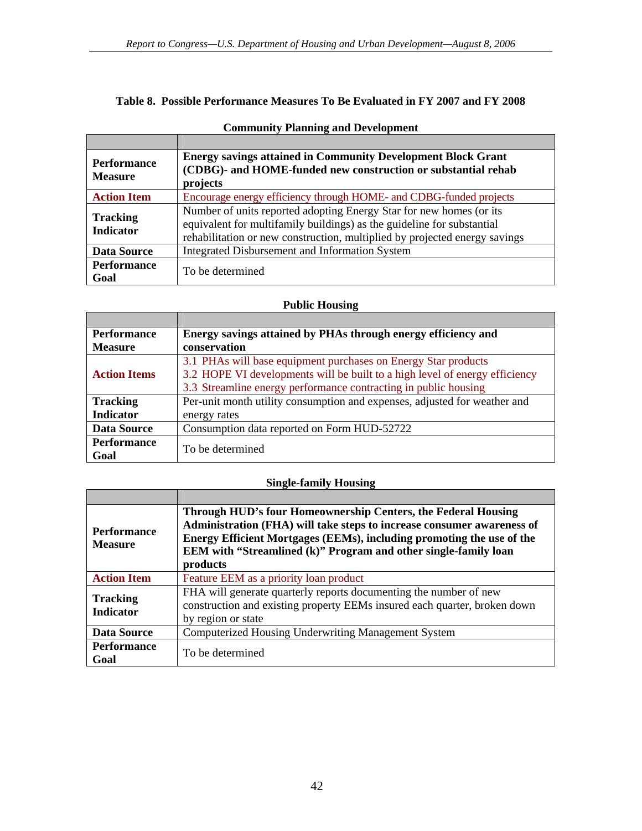#### <span id="page-49-0"></span>**Table 8. Possible Performance Measures To Be Evaluated in FY 2007 and FY 2008**

| <b>Performance</b><br><b>Measure</b> | <b>Energy savings attained in Community Development Block Grant</b><br>(CDBG)- and HOME-funded new construction or substantial rehab<br>projects                                                                            |
|--------------------------------------|-----------------------------------------------------------------------------------------------------------------------------------------------------------------------------------------------------------------------------|
| <b>Action Item</b>                   | Encourage energy efficiency through HOME- and CDBG-funded projects                                                                                                                                                          |
| <b>Tracking</b><br><b>Indicator</b>  | Number of units reported adopting Energy Star for new homes (or its<br>equivalent for multifamily buildings) as the guideline for substantial<br>rehabilitation or new construction, multiplied by projected energy savings |
| <b>Data Source</b>                   | Integrated Disbursement and Information System                                                                                                                                                                              |
| <b>Performance</b><br>Goal           | To be determined                                                                                                                                                                                                            |

### **Community Planning and Development**

#### **Public Housing**

| <b>Performance</b>  | Energy savings attained by PHAs through energy efficiency and               |
|---------------------|-----------------------------------------------------------------------------|
| <b>Measure</b>      | conservation                                                                |
| <b>Action Items</b> | 3.1 PHAs will base equipment purchases on Energy Star products              |
|                     | 3.2 HOPE VI developments will be built to a high level of energy efficiency |
|                     | 3.3 Streamline energy performance contracting in public housing             |
| <b>Tracking</b>     | Per-unit month utility consumption and expenses, adjusted for weather and   |
| <b>Indicator</b>    | energy rates                                                                |
| <b>Data Source</b>  | Consumption data reported on Form HUD-52722                                 |
| <b>Performance</b>  | To be determined                                                            |
| Goal                |                                                                             |

### **Single-family Housing**

| <b>Performance</b><br><b>Measure</b> | Through HUD's four Homeownership Centers, the Federal Housing<br>Administration (FHA) will take steps to increase consumer awareness of<br>Energy Efficient Mortgages (EEMs), including promoting the use of the<br>EEM with "Streamlined (k)" Program and other single-family loan<br>products |
|--------------------------------------|-------------------------------------------------------------------------------------------------------------------------------------------------------------------------------------------------------------------------------------------------------------------------------------------------|
| <b>Action Item</b>                   | Feature EEM as a priority loan product                                                                                                                                                                                                                                                          |
| <b>Tracking</b><br><b>Indicator</b>  | FHA will generate quarterly reports documenting the number of new<br>construction and existing property EEMs insured each quarter, broken down<br>by region or state                                                                                                                            |
| <b>Data Source</b>                   | Computerized Housing Underwriting Management System                                                                                                                                                                                                                                             |
| <b>Performance</b><br>Goal           | To be determined                                                                                                                                                                                                                                                                                |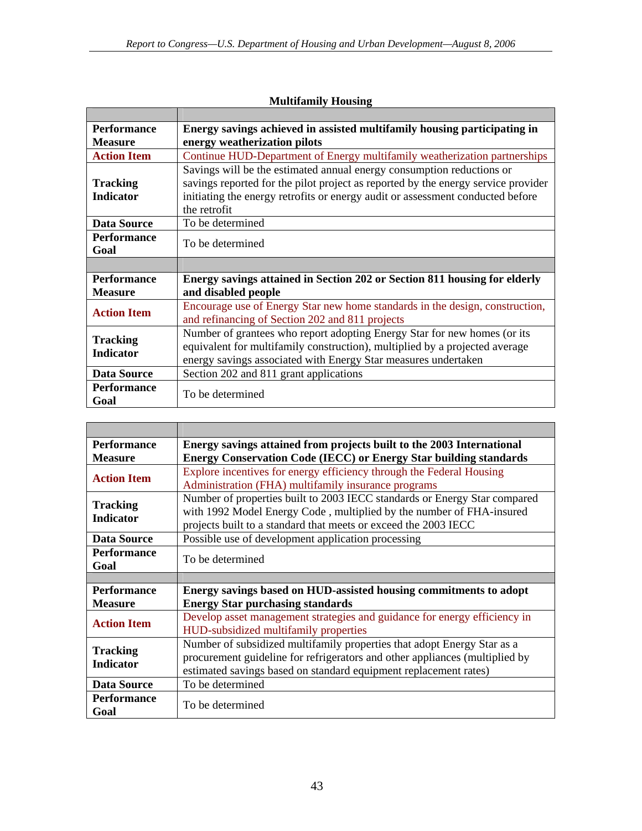| <b>Performance</b>                  | Energy savings achieved in assisted multifamily housing participating in          |
|-------------------------------------|-----------------------------------------------------------------------------------|
| <b>Measure</b>                      | energy weatherization pilots                                                      |
| <b>Action Item</b>                  | Continue HUD-Department of Energy multifamily weatherization partnerships         |
|                                     | Savings will be the estimated annual energy consumption reductions or             |
| <b>Tracking</b>                     | savings reported for the pilot project as reported by the energy service provider |
| <b>Indicator</b>                    | initiating the energy retrofits or energy audit or assessment conducted before    |
|                                     | the retrofit                                                                      |
| <b>Data Source</b>                  | To be determined                                                                  |
| <b>Performance</b>                  | To be determined                                                                  |
| Goal                                |                                                                                   |
|                                     |                                                                                   |
| <b>Performance</b>                  | Energy savings attained in Section 202 or Section 811 housing for elderly         |
| <b>Measure</b>                      | and disabled people                                                               |
| <b>Action Item</b>                  | Encourage use of Energy Star new home standards in the design, construction,      |
|                                     | and refinancing of Section 202 and 811 projects                                   |
| <b>Tracking</b><br><b>Indicator</b> | Number of grantees who report adopting Energy Star for new homes (or its          |
|                                     | equivalent for multifamily construction), multiplied by a projected average       |
|                                     | energy savings associated with Energy Star measures undertaken                    |
| Data Source                         | Section 202 and 811 grant applications                                            |
| <b>Performance</b>                  |                                                                                   |
|                                     | To be determined                                                                  |

### **Multifamily Housing**

| <b>Performance</b>                  | Energy savings attained from projects built to the 2003 International                                                                                  |
|-------------------------------------|--------------------------------------------------------------------------------------------------------------------------------------------------------|
| <b>Measure</b>                      | <b>Energy Conservation Code (IECC) or Energy Star building standards</b>                                                                               |
| <b>Action Item</b>                  | Explore incentives for energy efficiency through the Federal Housing                                                                                   |
|                                     | Administration (FHA) multifamily insurance programs                                                                                                    |
| <b>Tracking</b><br><b>Indicator</b> | Number of properties built to 2003 IECC standards or Energy Star compared                                                                              |
|                                     | with 1992 Model Energy Code, multiplied by the number of FHA-insured                                                                                   |
|                                     | projects built to a standard that meets or exceed the 2003 IECC                                                                                        |
| <b>Data Source</b>                  | Possible use of development application processing                                                                                                     |
| <b>Performance</b>                  | To be determined                                                                                                                                       |
| Goal                                |                                                                                                                                                        |
|                                     |                                                                                                                                                        |
|                                     |                                                                                                                                                        |
| <b>Performance</b>                  | Energy savings based on HUD-assisted housing commitments to adopt                                                                                      |
| <b>Measure</b>                      | <b>Energy Star purchasing standards</b>                                                                                                                |
|                                     | Develop asset management strategies and guidance for energy efficiency in                                                                              |
| <b>Action Item</b>                  | HUD-subsidized multifamily properties                                                                                                                  |
|                                     |                                                                                                                                                        |
| <b>Tracking</b>                     | Number of subsidized multifamily properties that adopt Energy Star as a<br>procurement guideline for refrigerators and other appliances (multiplied by |
| <b>Indicator</b>                    | estimated savings based on standard equipment replacement rates)                                                                                       |
| Data Source                         | To be determined                                                                                                                                       |
| <b>Performance</b>                  | To be determined                                                                                                                                       |

r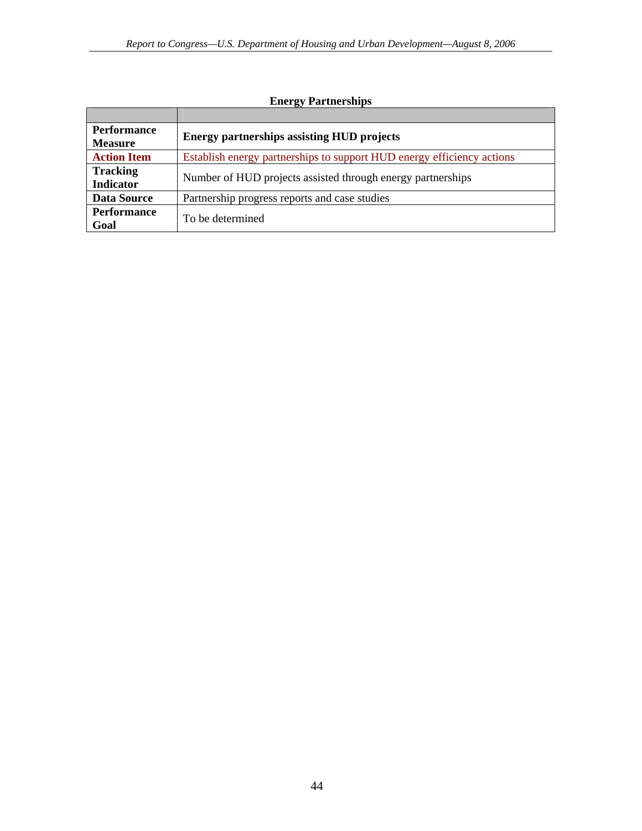| <b>Performance</b><br><b>Measure</b> | <b>Energy partnerships assisting HUD projects</b>                      |
|--------------------------------------|------------------------------------------------------------------------|
| <b>Action Item</b>                   | Establish energy partnerships to support HUD energy efficiency actions |
| <b>Tracking</b><br><b>Indicator</b>  | Number of HUD projects assisted through energy partnerships            |
| <b>Data Source</b>                   | Partnership progress reports and case studies                          |
| <b>Performance</b><br>Goal           | To be determined                                                       |

### **Energy Partnerships**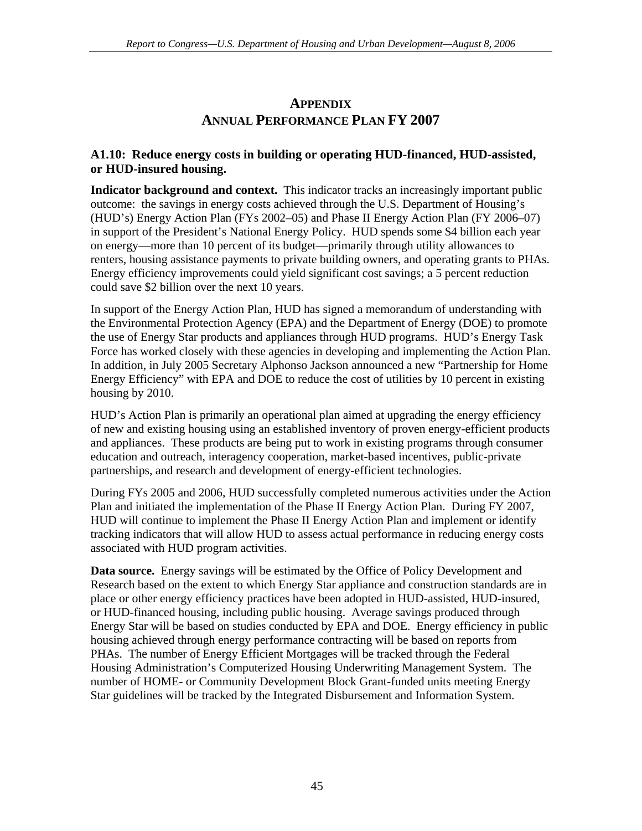# **APPENDIX ANNUAL PERFORMANCE PLAN FY 2007**

### <span id="page-52-0"></span>**A1.10: Reduce energy costs in building or operating HUD-financed, HUD-assisted, or HUD-insured housing.**

**Indicator background and context.** This indicator tracks an increasingly important public outcome: the savings in energy costs achieved through the U.S. Department of Housing's (HUD's) Energy Action Plan (FYs 2002–05) and Phase II Energy Action Plan (FY 2006–07) in support of the President's National Energy Policy. HUD spends some \$4 billion each year on energy—more than 10 percent of its budget—primarily through utility allowances to renters, housing assistance payments to private building owners, and operating grants to PHAs. Energy efficiency improvements could yield significant cost savings; a 5 percent reduction could save \$2 billion over the next 10 years.

In support of the Energy Action Plan, HUD has signed a memorandum of understanding with the Environmental Protection Agency (EPA) and the Department of Energy (DOE) to promote the use of Energy Star products and appliances through HUD programs. HUD's Energy Task Force has worked closely with these agencies in developing and implementing the Action Plan. In addition, in July 2005 Secretary Alphonso Jackson announced a new "Partnership for Home Energy Efficiency" with EPA and DOE to reduce the cost of utilities by 10 percent in existing housing by 2010.

HUD's Action Plan is primarily an operational plan aimed at upgrading the energy efficiency of new and existing housing using an established inventory of proven energy-efficient products and appliances. These products are being put to work in existing programs through consumer education and outreach, interagency cooperation, market-based incentives, public-private partnerships, and research and development of energy-efficient technologies.

During FYs 2005 and 2006, HUD successfully completed numerous activities under the Action Plan and initiated the implementation of the Phase II Energy Action Plan. During FY 2007, HUD will continue to implement the Phase II Energy Action Plan and implement or identify tracking indicators that will allow HUD to assess actual performance in reducing energy costs associated with HUD program activities.

**Data source.** Energy savings will be estimated by the Office of Policy Development and Research based on the extent to which Energy Star appliance and construction standards are in place or other energy efficiency practices have been adopted in HUD-assisted, HUD-insured, or HUD-financed housing, including public housing. Average savings produced through Energy Star will be based on studies conducted by EPA and DOE. Energy efficiency in public housing achieved through energy performance contracting will be based on reports from PHAs. The number of Energy Efficient Mortgages will be tracked through the Federal Housing Administration's Computerized Housing Underwriting Management System. The number of HOME- or Community Development Block Grant-funded units meeting Energy Star guidelines will be tracked by the Integrated Disbursement and Information System.